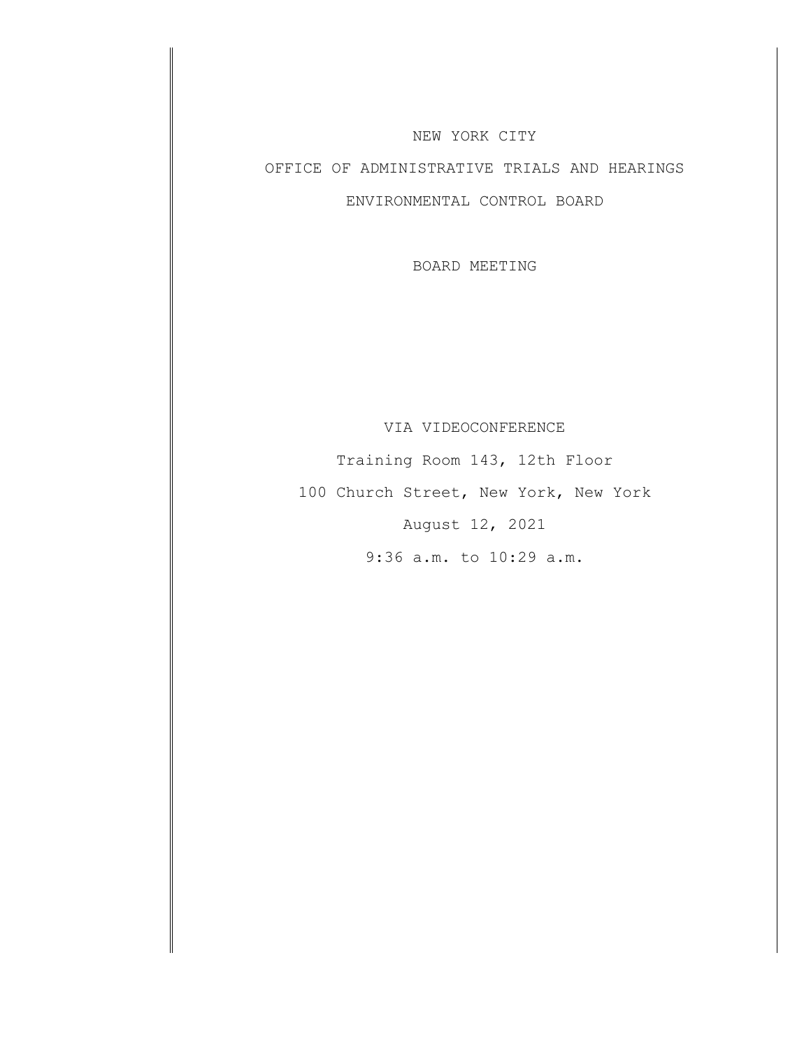#### NEW YORK CITY

# OFFICE OF ADMINISTRATIVE TRIALS AND HEARINGS ENVIRONMENTAL CONTROL BOARD

BOARD MEETING

#### VIA VIDEOCONFERENCE

Training Room 143, 12th Floor 100 Church Street, New York, New York August 12, 2021 9:36 a.m. to 10:29 a.m.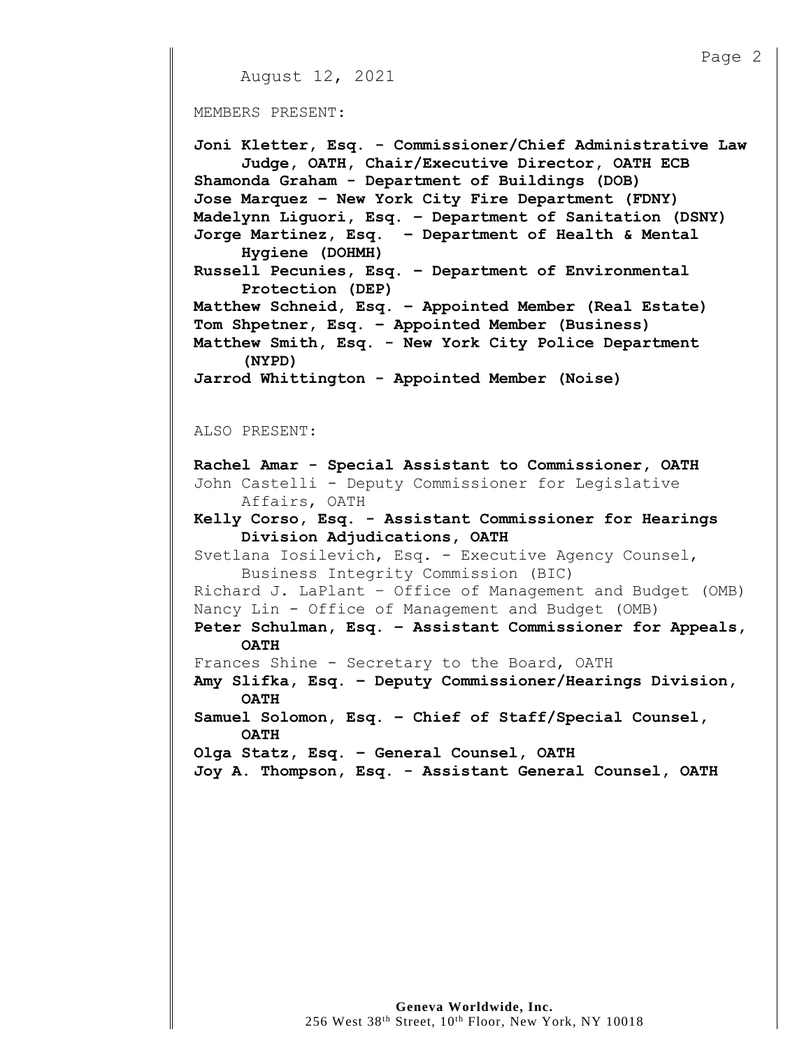```
Page 2
    August 12, 2021
MEMBERS PRESENT:
Joni Kletter, Esq. - Commissioner/Chief Administrative Law
     Judge, OATH, Chair/Executive Director, OATH ECB
Shamonda Graham - Department of Buildings (DOB)
Jose Marquez – New York City Fire Department (FDNY)
Madelynn Liguori, Esq. – Department of Sanitation (DSNY)
Jorge Martinez, Esq. – Department of Health & Mental
     Hygiene (DOHMH)
Russell Pecunies, Esq. – Department of Environmental 
     Protection (DEP)
Matthew Schneid, Esq. – Appointed Member (Real Estate)
Tom Shpetner, Esq. – Appointed Member (Business) 
Matthew Smith, Esq. - New York City Police Department 
     (NYPD)
Jarrod Whittington - Appointed Member (Noise)
ALSO PRESENT:
Rachel Amar - Special Assistant to Commissioner, OATH
John Castelli - Deputy Commissioner for Legislative 
     Affairs, OATH
Kelly Corso, Esq. - Assistant Commissioner for Hearings
     Division Adjudications, OATH
Svetlana Iosilevich, Esq. - Executive Agency Counsel,
     Business Integrity Commission (BIC)
Richard J. LaPlant – Office of Management and Budget (OMB)
Nancy Lin - Office of Management and Budget (OMB)
Peter Schulman, Esq. – Assistant Commissioner for Appeals, 
     OATH
Frances Shine - Secretary to the Board, OATH
Amy Slifka, Esq. – Deputy Commissioner/Hearings Division, 
     OATH
Samuel Solomon, Esq. – Chief of Staff/Special Counsel,
     OATH
Olga Statz, Esq. – General Counsel, OATH
Joy A. Thompson, Esq. - Assistant General Counsel, OATH
```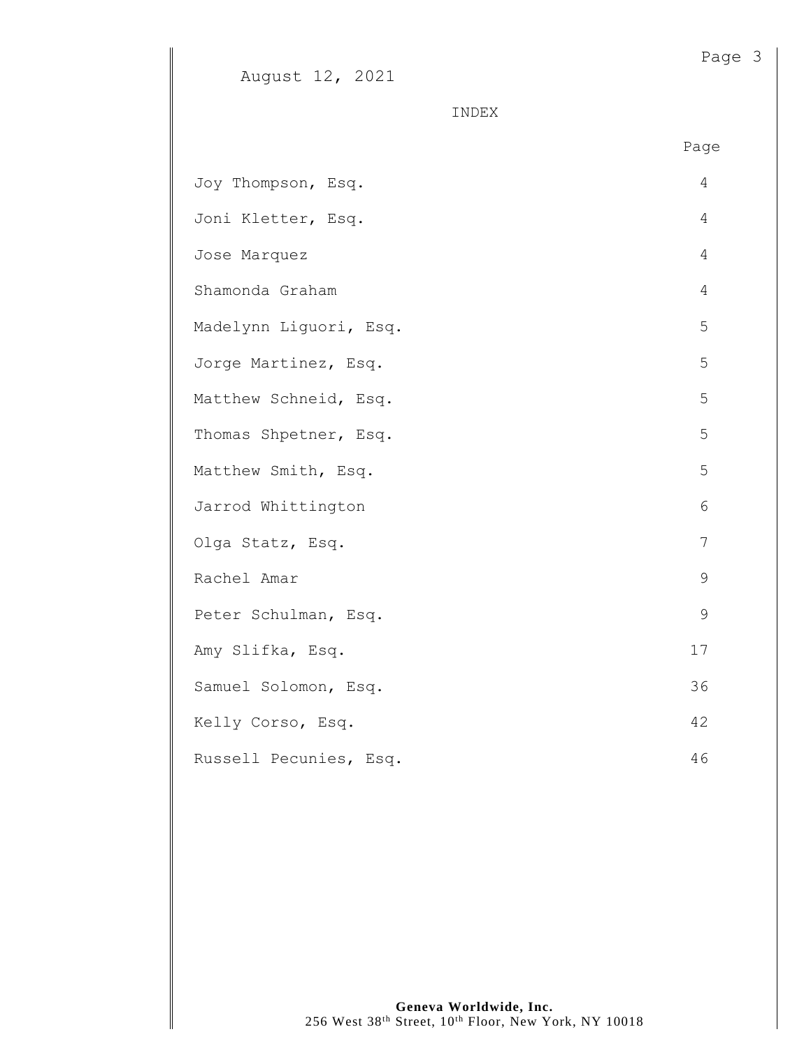## August 12, 2021

INDEX

|                        | Page           |
|------------------------|----------------|
| Joy Thompson, Esq.     | 4              |
| Joni Kletter, Esq.     | $\overline{4}$ |
| Jose Marquez           | $\overline{4}$ |
| Shamonda Graham        | $\overline{4}$ |
| Madelynn Liguori, Esq. | 5              |
| Jorge Martinez, Esq.   | 5              |
| Matthew Schneid, Esq.  | 5              |
| Thomas Shpetner, Esq.  | 5              |
| Matthew Smith, Esq.    | 5              |
| Jarrod Whittington     | 6              |
| Olga Statz, Esq.       | 7              |
| Rachel Amar            | 9              |
| Peter Schulman, Esq.   | $\mathcal{G}$  |
| Amy Slifka, Esq.       | 17             |
| Samuel Solomon, Esq.   | 36             |
| Kelly Corso, Esq.      | 42             |
| Russell Pecunies, Esq. | 46             |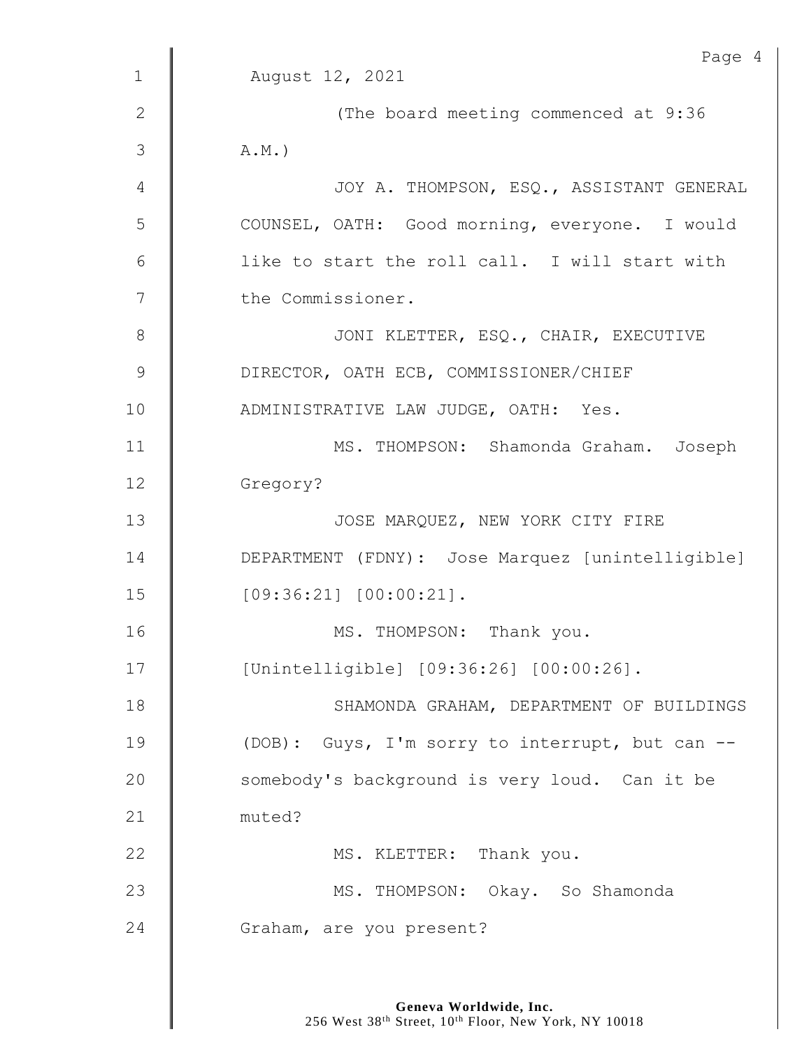|               | Page 4                                           |
|---------------|--------------------------------------------------|
| $\mathbf{1}$  | August 12, 2021                                  |
| $\mathbf{2}$  | (The board meeting commenced at 9:36             |
| 3             | $A.M.$ )                                         |
| 4             | JOY A. THOMPSON, ESQ., ASSISTANT GENERAL         |
| 5             | COUNSEL, OATH: Good morning, everyone. I would   |
| 6             | like to start the roll call. I will start with   |
| 7             | the Commissioner.                                |
| $8\,$         | JONI KLETTER, ESQ., CHAIR, EXECUTIVE             |
| $\mathcal{G}$ | DIRECTOR, OATH ECB, COMMISSIONER/CHIEF           |
| 10            | ADMINISTRATIVE LAW JUDGE, OATH: Yes.             |
| 11            | MS. THOMPSON: Shamonda Graham. Joseph            |
| 12            | Gregory?                                         |
| 13            | JOSE MARQUEZ, NEW YORK CITY FIRE                 |
| 14            | DEPARTMENT (FDNY): Jose Marquez [unintelligible] |
| 15            | $[09:36:21]$ $[00:00:21]$ .                      |
| 16            | MS. THOMPSON: Thank you.                         |
| 17            | [Unintelligible] [09:36:26] [00:00:26].          |
| 18            | SHAMONDA GRAHAM, DEPARTMENT OF BUILDINGS         |
| 19            | (DOB): Guys, I'm sorry to interrupt, but can --  |
| 20            | somebody's background is very loud. Can it be    |
| 21            | muted?                                           |
| 22            | MS. KLETTER: Thank you.                          |
| 23            | MS. THOMPSON: Okay. So Shamonda                  |
| 24            | Graham, are you present?                         |
|               |                                                  |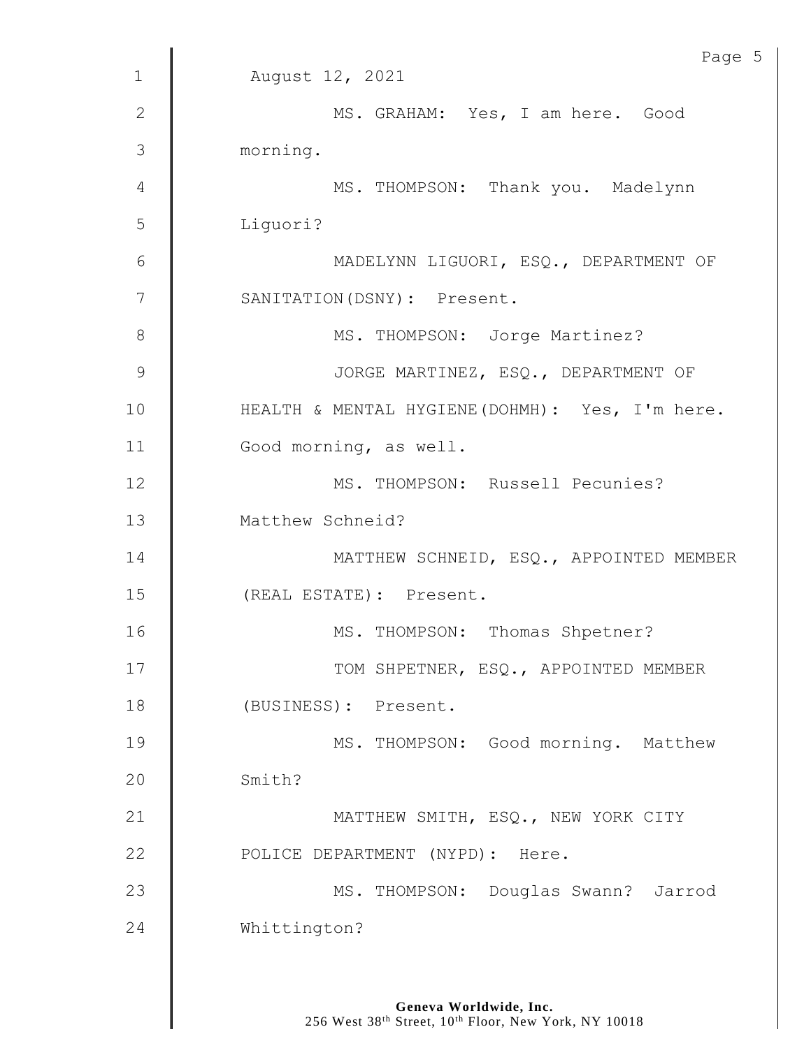|                | Page 5                                          |
|----------------|-------------------------------------------------|
| $\mathbf 1$    | August 12, 2021                                 |
| $\mathbf{2}$   | MS. GRAHAM: Yes, I am here. Good                |
| 3              | morning.                                        |
| $\overline{4}$ | MS. THOMPSON: Thank you. Madelynn               |
| 5              | Liguori?                                        |
| $6\,$          | MADELYNN LIGUORI, ESQ., DEPARTMENT OF           |
| $\overline{7}$ | SANITATION (DSNY) : Present.                    |
| $8\,$          | MS. THOMPSON: Jorge Martinez?                   |
| 9              | JORGE MARTINEZ, ESQ., DEPARTMENT OF             |
| 10             | HEALTH & MENTAL HYGIENE (DOHMH): Yes, I'm here. |
| 11             | Good morning, as well.                          |
| 12             | MS. THOMPSON: Russell Pecunies?                 |
| 13             | Matthew Schneid?                                |
| 14             | MATTHEW SCHNEID, ESQ., APPOINTED MEMBER         |
| 15             | (REAL ESTATE): Present.                         |
| 16             | MS. THOMPSON: Thomas Shpetner?                  |
| 17             | TOM SHPETNER, ESQ., APPOINTED MEMBER            |
| 18             | (BUSINESS): Present.                            |
| 19             | MS. THOMPSON: Good morning. Matthew             |
| 20             | Smith?                                          |
| 21             | MATTHEW SMITH, ESQ., NEW YORK CITY              |
| 22             | POLICE DEPARTMENT (NYPD): Here.                 |
| 23             | MS. THOMPSON: Douglas Swann? Jarrod             |
| 24             | Whittington?                                    |
|                |                                                 |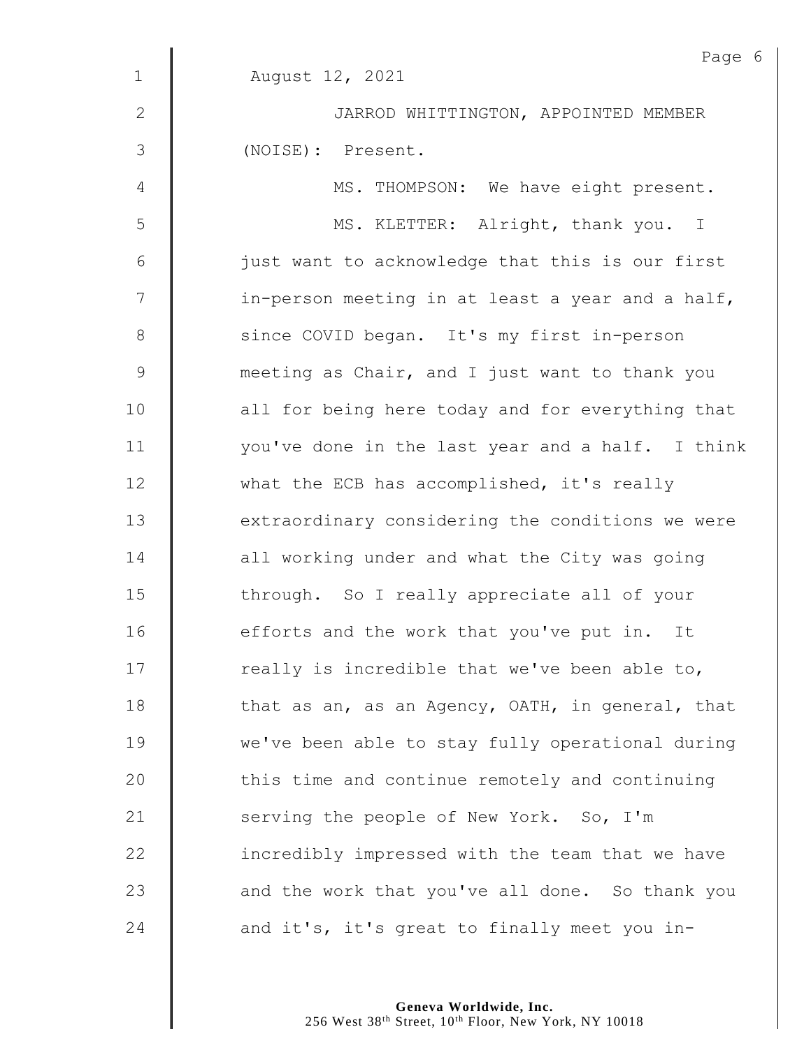|               | Page 6                                           |
|---------------|--------------------------------------------------|
| $\mathbf{1}$  | August 12, 2021                                  |
| $\mathbf{2}$  | JARROD WHITTINGTON, APPOINTED MEMBER             |
| 3             | (NOISE): Present.                                |
| 4             | MS. THOMPSON: We have eight present.             |
| 5             | MS. KLETTER: Alright, thank you. I               |
| 6             | just want to acknowledge that this is our first  |
| 7             | in-person meeting in at least a year and a half, |
| $\,8\,$       | since COVID began. It's my first in-person       |
| $\mathcal{G}$ | meeting as Chair, and I just want to thank you   |
| 10            | all for being here today and for everything that |
| 11            | you've done in the last year and a half. I think |
| 12            | what the ECB has accomplished, it's really       |
| 13            | extraordinary considering the conditions we were |
| 14            | all working under and what the City was going    |
| 15            | through. So I really appreciate all of your      |
| 16            | efforts and the work that you've put in. It      |
| 17            | really is incredible that we've been able to,    |
| 18            | that as an, as an Agency, OATH, in general, that |
| 19            | we've been able to stay fully operational during |
| 20            | this time and continue remotely and continuing   |
| 21            | serving the people of New York. So, I'm          |
| 22            | incredibly impressed with the team that we have  |
| 23            | and the work that you've all done. So thank you  |
| 24            | and it's, it's great to finally meet you in-     |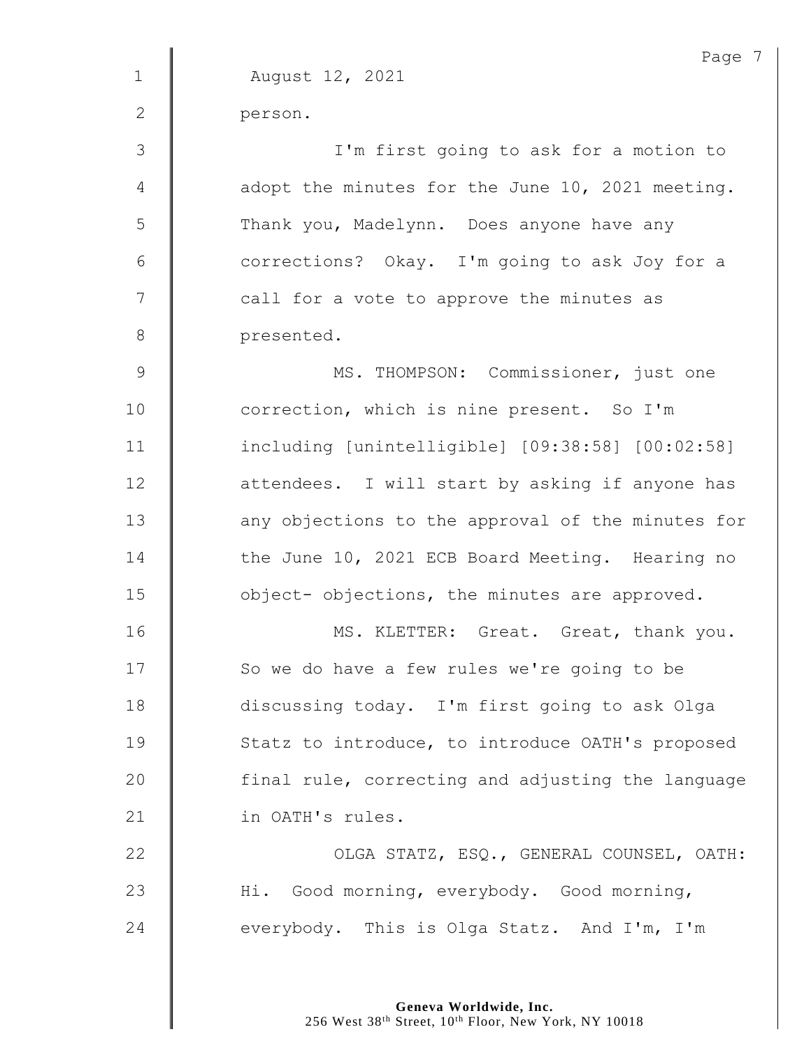1 August 12, 2021 2 person. 3 I'm first going to ask for a motion to 4 **d** adopt the minutes for the June 10, 2021 meeting. 5 Thank you, Madelynn. Does anyone have any 6 | corrections? Okay. I'm going to ask Joy for a 7 | call for a vote to approve the minutes as 8 **presented.** 9 | MS. THOMPSON: Commissioner, just one 10 **correction, which is nine present.** So I'm 11 including [unintelligible] [09:38:58] [00:02:58] 12 | attendees. I will start by asking if anyone has 13 **any objections to the approval of the minutes for** 14 The June 10, 2021 ECB Board Meeting. Hearing no 15 **| |** object- objections, the minutes are approved. 16 **MS. KLETTER:** Great. Great, thank you. 17 | So we do have a few rules we're going to be 18 discussing today. I'm first going to ask Olga 19 | Statz to introduce, to introduce OATH's proposed  $20$  | final rule, correcting and adjusting the language 21 | in OATH's rules. 22 | OLGA STATZ, ESQ., GENERAL COUNSEL, OATH: 23 | Hi. Good morning, everybody. Good morning, 24  $\parallel$  everybody. This is Olga Statz. And I'm, I'm

> **Geneva Worldwide, Inc.** 256 West 38<sup>th</sup> Street, 10<sup>th</sup> Floor, New York, NY 10018

Page 7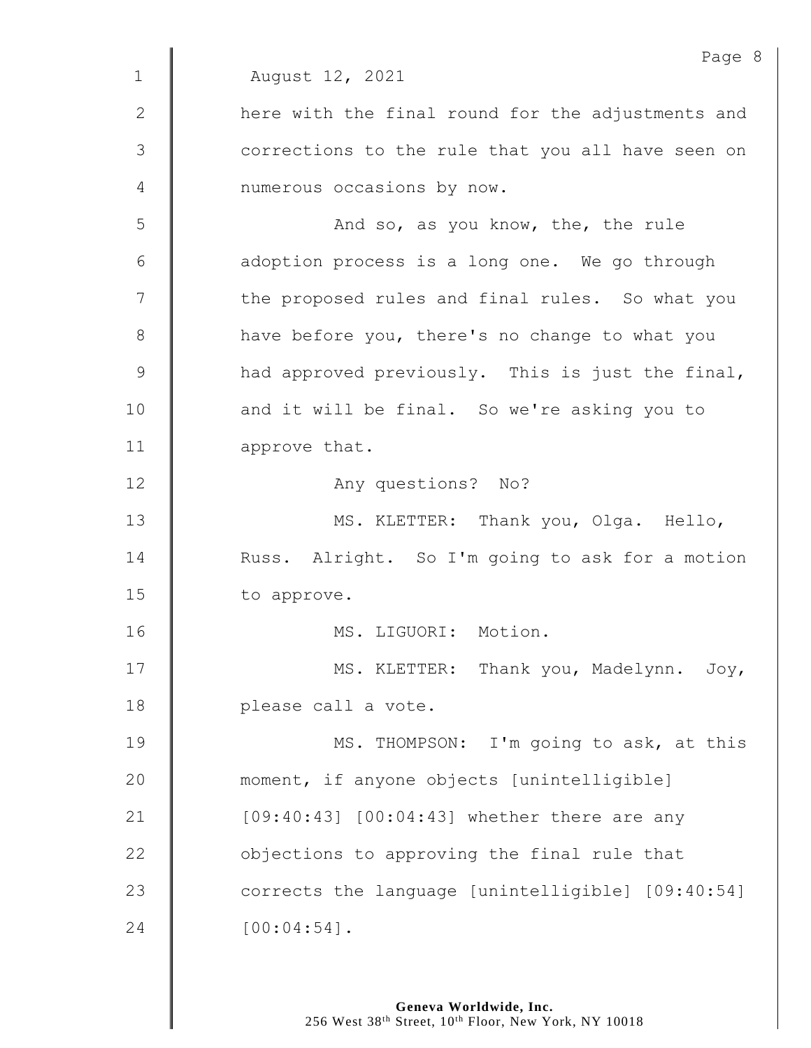Page 8 1 August 12, 2021 2 | here with the final round for the adjustments and 3 | corrections to the rule that you all have seen on 4 | numerous occasions by now. 5 And so, as you know, the, the rule  $6$  | adoption process is a long one. We go through 7 | the proposed rules and final rules. So what you 8 | have before you, there's no change to what you 9 And approved previously. This is just the final, 10 | and it will be final. So we're asking you to 11 approve that. 12 | Any questions? No? 13 | MS. KLETTER: Thank you, Olga. Hello, 14 **Nuss.** Alright. So I'm going to ask for a motion 15 | to approve. 16 | MS. LIGUORI: Motion. 17 | MS. KLETTER: Thank you, Madelynn. Joy, 18 **please call a vote.** 19 **MS. THOMPSON:** I'm going to ask, at this 20 **moment,** if anyone objects [unintelligible] 21 | [09:40:43] [00:04:43] whether there are any 22 **J** objections to approving the final rule that 23 corrects the language [unintelligible] [09:40:54]  $24$  |  $[00:04:54]$ .

> **Geneva Worldwide, Inc.** 256 West 38<sup>th</sup> Street, 10<sup>th</sup> Floor, New York, NY 10018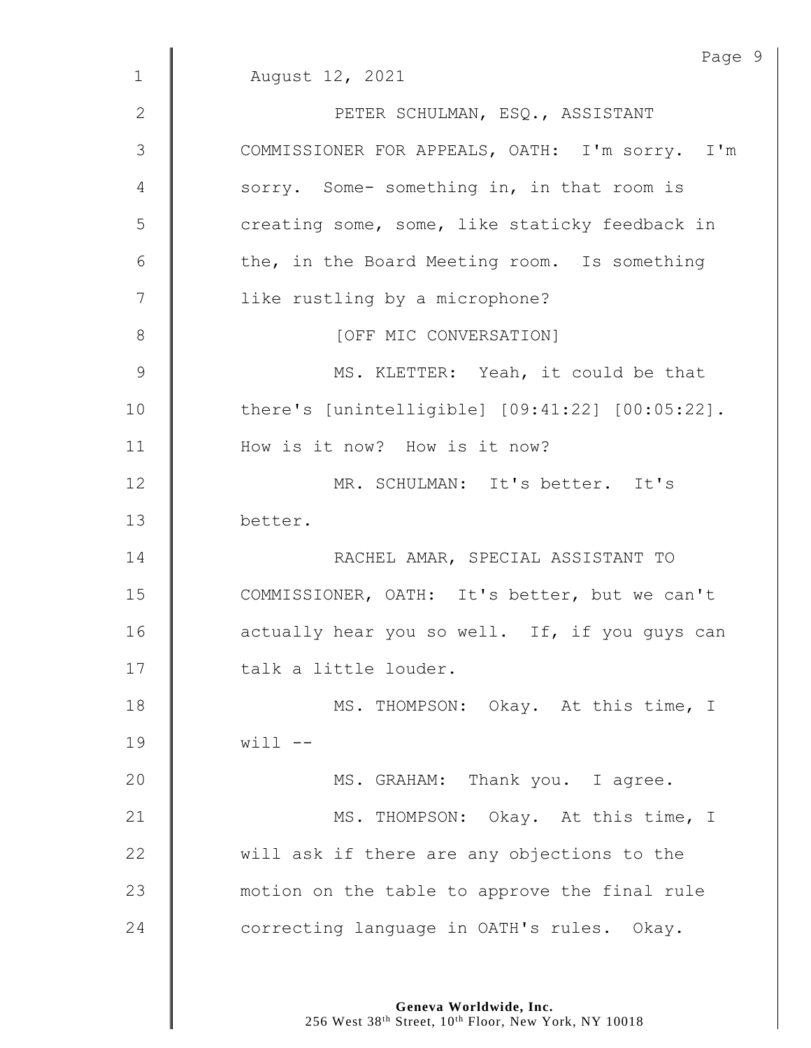|                 | Page                                            |
|-----------------|-------------------------------------------------|
| $\mathbf 1$     | August 12, 2021                                 |
| $\mathbf{2}$    | PETER SCHULMAN, ESQ., ASSISTANT                 |
| 3               | COMMISSIONER FOR APPEALS, OATH: I'm sorry. I'm  |
| 4               | sorry. Some- something in, in that room is      |
| 5               | creating some, some, like staticky feedback in  |
| $6\phantom{1}6$ | the, in the Board Meeting room. Is something    |
| 7               | like rustling by a microphone?                  |
| 8               | [OFF MIC CONVERSATION]                          |
| $\mathcal{G}$   | MS. KLETTER: Yeah, it could be that             |
| 10              | there's [unintelligible] [09:41:22] [00:05:22]. |
| 11              | How is it now? How is it now?                   |
| 12              | MR. SCHULMAN: It's better. It's                 |
| 13              | better.                                         |
| 14              | RACHEL AMAR, SPECIAL ASSISTANT TO               |
| 15              | COMMISSIONER, OATH: It's better, but we can't   |
| 16              | actually hear you so well. If, if you guys can  |
| 17              | talk a little louder.                           |
| 18              | MS. THOMPSON: Okay. At this time, I             |
| 19              | $with -1$                                       |
| 20              | MS. GRAHAM: Thank you. I agree.                 |
| 21              | MS. THOMPSON: Okay. At this time, I             |
| 22              | will ask if there are any objections to the     |
| 23              | motion on the table to approve the final rule   |
| 24              | correcting language in OATH's rules. Okay.      |

Page 9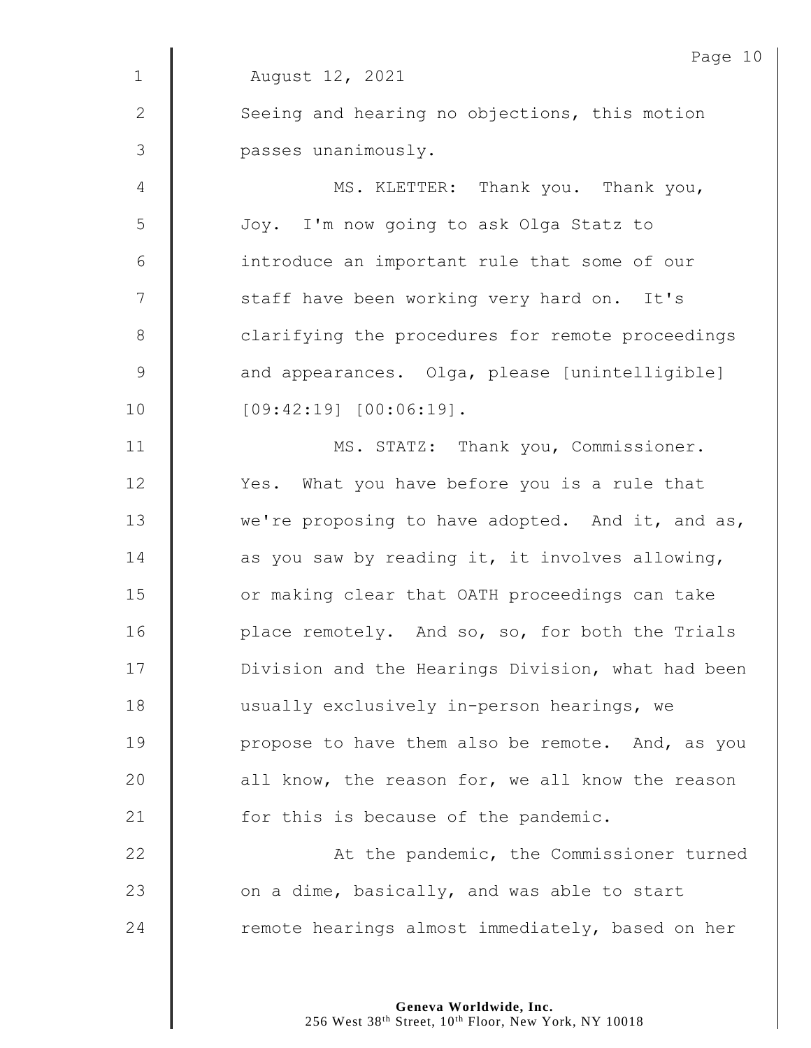|                | Page 10                                           |
|----------------|---------------------------------------------------|
| $\mathbf 1$    | August 12, 2021                                   |
| $\mathbf{2}$   | Seeing and hearing no objections, this motion     |
| $\mathfrak{Z}$ | passes unanimously.                               |
| $\overline{4}$ | MS. KLETTER: Thank you. Thank you,                |
| 5              | Joy. I'm now going to ask Olga Statz to           |
| 6              | introduce an important rule that some of our      |
| 7              | staff have been working very hard on. It's        |
| $8\,$          | clarifying the procedures for remote proceedings  |
| $\mathsf 9$    | and appearances. Olga, please [unintelligible]    |
| 10             | $[09:42:19]$ $[00:06:19]$ .                       |
| 11             | MS. STATZ: Thank you, Commissioner.               |
| 12             | Yes. What you have before you is a rule that      |
| 13             | we're proposing to have adopted. And it, and as,  |
| 14             | as you saw by reading it, it involves allowing,   |
| 15             | or making clear that OATH proceedings can take    |
| 16             | place remotely. And so, so, for both the Trials   |
| 17             | Division and the Hearings Division, what had been |
| 18             | usually exclusively in-person hearings, we        |
| 19             | propose to have them also be remote. And, as you  |
| 20             | all know, the reason for, we all know the reason  |
| 21             | for this is because of the pandemic.              |
| 22             | At the pandemic, the Commissioner turned          |
| 23             | on a dime, basically, and was able to start       |
| 24             | remote hearings almost immediately, based on her  |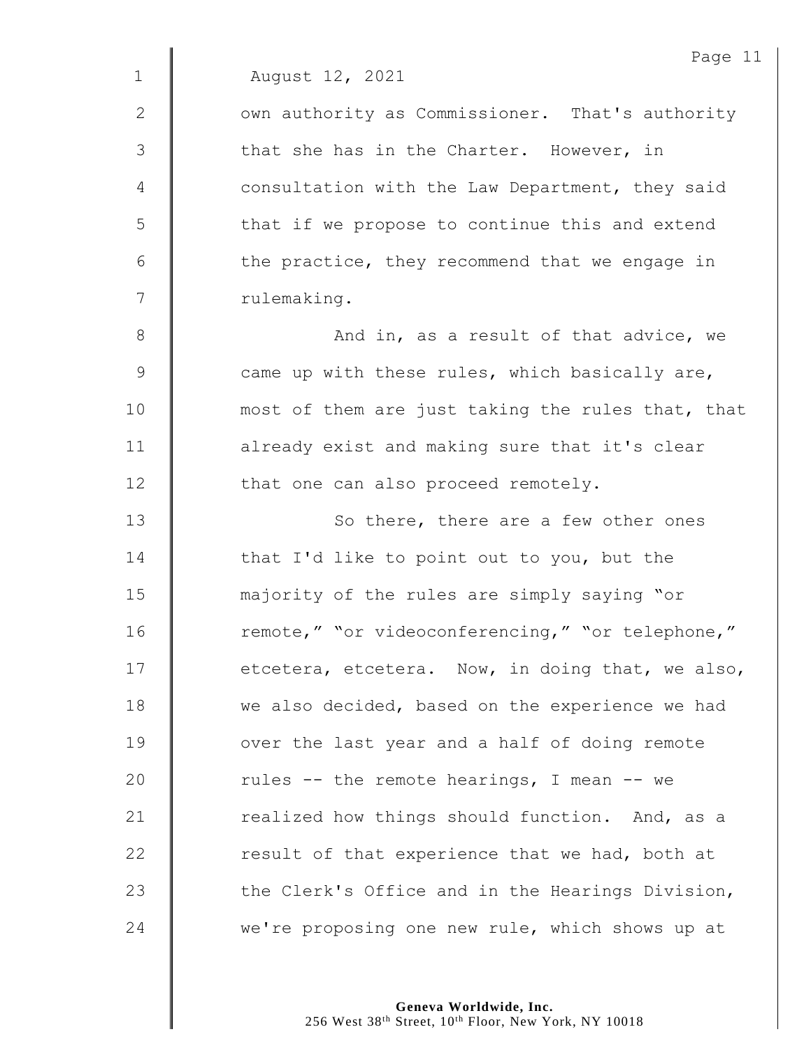1 August 12, 2021

2 | Own authority as Commissioner. That's authority 3 that she has in the Charter. However, in 4 **6** Consultation with the Law Department, they said 5 | that if we propose to continue this and extend  $6 \parallel$  the practice, they recommend that we engage in 7 | rulemaking.

8 || And in, as a result of that advice, we 9 Came up with these rules, which basically are, 10 **most of them are just taking the rules that, that** 11 | already exist and making sure that it's clear 12 | that one can also proceed remotely.

13 || So there, there are a few other ones **that I'd like to point out to you, but the**  majority of the rules are simply saying "or 16 | remote," "or videoconferencing," "or telephone,"  $\parallel$  etcetera, etcetera. Now, in doing that, we also, 18 we also decided, based on the experience we had **J** over the last year and a half of doing remote  $\parallel$  rules -- the remote hearings, I mean -- we  $\parallel$  realized how things should function. And, as a **Fig.** result of that experience that we had, both at  $\parallel$  the Clerk's Office and in the Hearings Division, 24 we're proposing one new rule, which shows up at

> **Geneva Worldwide, Inc.** 256 West 38<sup>th</sup> Street, 10<sup>th</sup> Floor, New York, NY 10018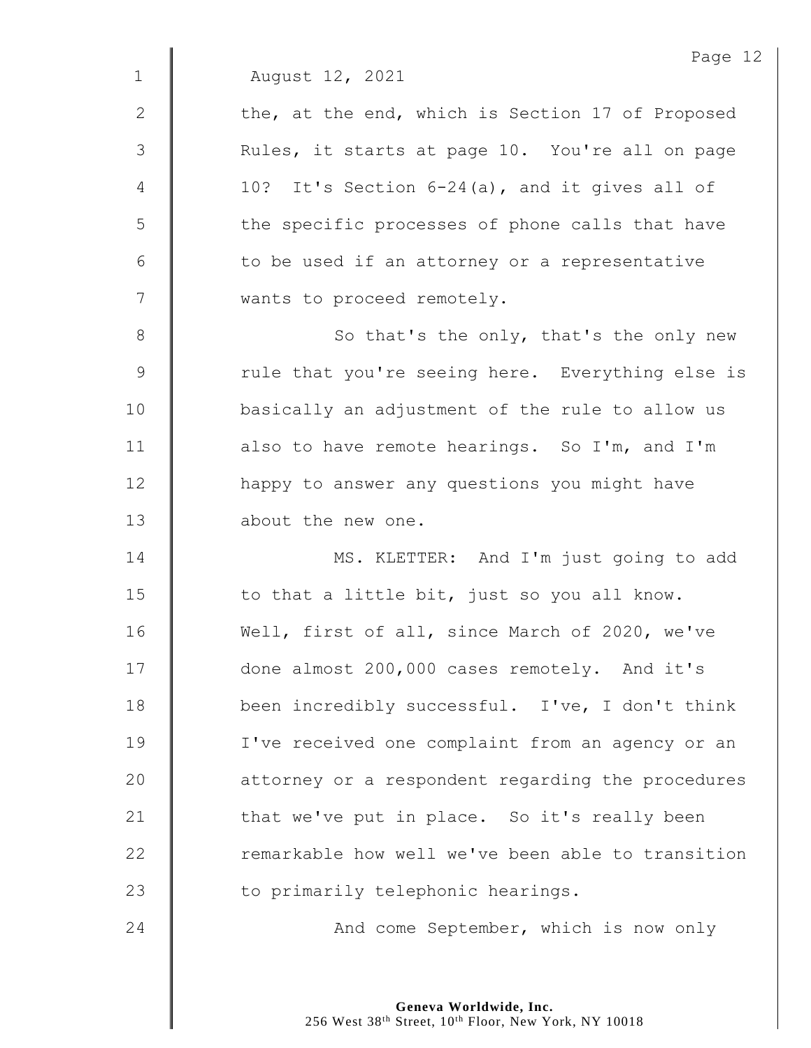Page 12 1 August 12, 2021 2  $\parallel$  the, at the end, which is Section 17 of Proposed 3 | Rules, it starts at page 10. You're all on page 4  $\parallel$  10? It's Section 6-24(a), and it gives all of 5 | the specific processes of phone calls that have  $6$  | to be used if an attorney or a representative 7 | wants to proceed remotely. 8 || So that's the only, that's the only new 9 Tule that you're seeing here. Everything else is 10 | basically an adjustment of the rule to allow us 11 **d** also to have remote hearings. So I'm, and I'm 12 | happy to answer any questions you might have 13 **d** about the new one. 14 | MS. KLETTER: And I'm just going to add 15  $\parallel$  to that a little bit, just so you all know. 16 Well, first of all, since March of 2020, we've 17 **done almost 200,000 cases remotely.** And it's 18 **been** incredibly successful. I've, I don't think 19 | I've received one complaint from an agency or an 20 **deg** attorney or a respondent regarding the procedures 21  $\parallel$  that we've put in place. So it's really been 22 | remarkable how well we've been able to transition 23 | to primarily telephonic hearings. 24 **And come September, which is now only** 

> **Geneva Worldwide, Inc.** 256 West 38<sup>th</sup> Street, 10<sup>th</sup> Floor, New York, NY 10018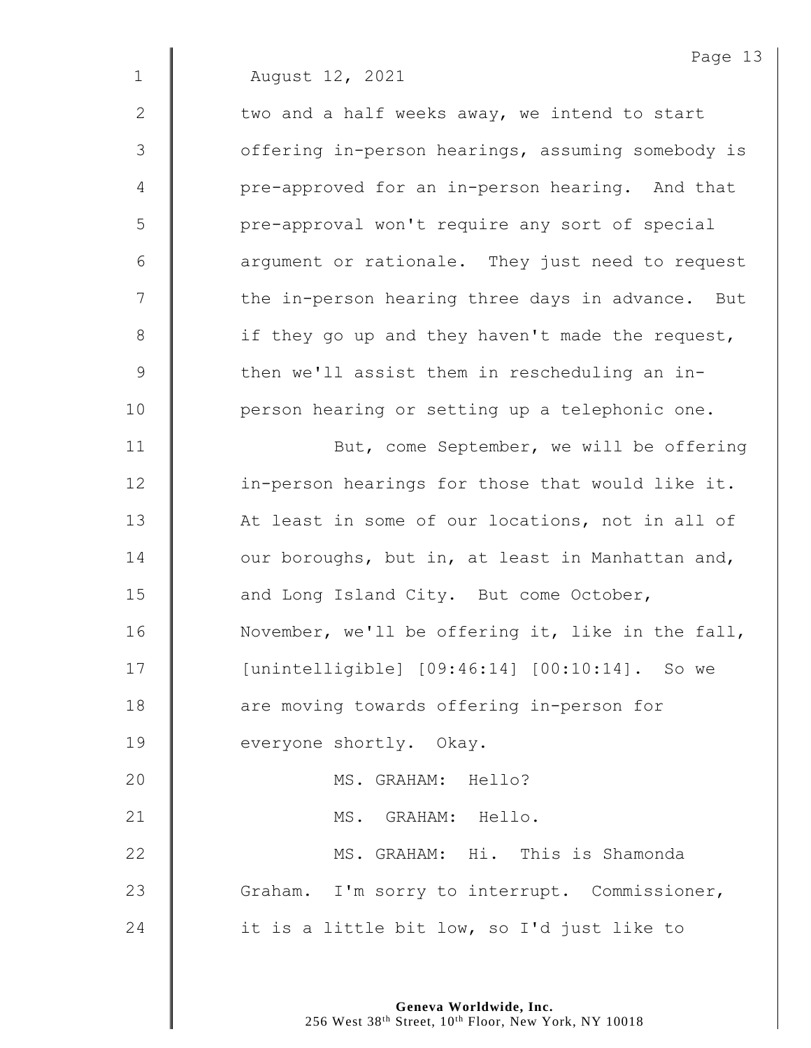Page 13 1 August 12, 2021 2  $\parallel$  two and a half weeks away, we intend to start 3 | offering in-person hearings, assuming somebody is 4 | pre-approved for an in-person hearing. And that 5 | pre-approval won't require any sort of special 6 **d** argument or rationale. They just need to request 7 | the in-person hearing three days in advance. But 8 | if they go up and they haven't made the request, 9 Then we'll assist them in rescheduling an in-10 | person hearing or setting up a telephonic one. 11 | But, come September, we will be offering 12 | in-person hearings for those that would like it. 13 | At least in some of our locations, not in all of  $14$   $\parallel$  our boroughs, but in, at least in Manhattan and, 15 **and Long Island City.** But come October, 16 | November, we'll be offering it, like in the fall, 17 [unintelligible] [09:46:14] [00:10:14]. So we 18 **are moving towards offering in-person for** 19 **everyone shortly.** Okay. 20 MS. GRAHAM: Hello? 21 | MS. GRAHAM: Hello. 22 MS. GRAHAM: Hi. This is Shamonda 23 Graham. I'm sorry to interrupt. Commissioner, 24  $\parallel$  it is a little bit low, so I'd just like to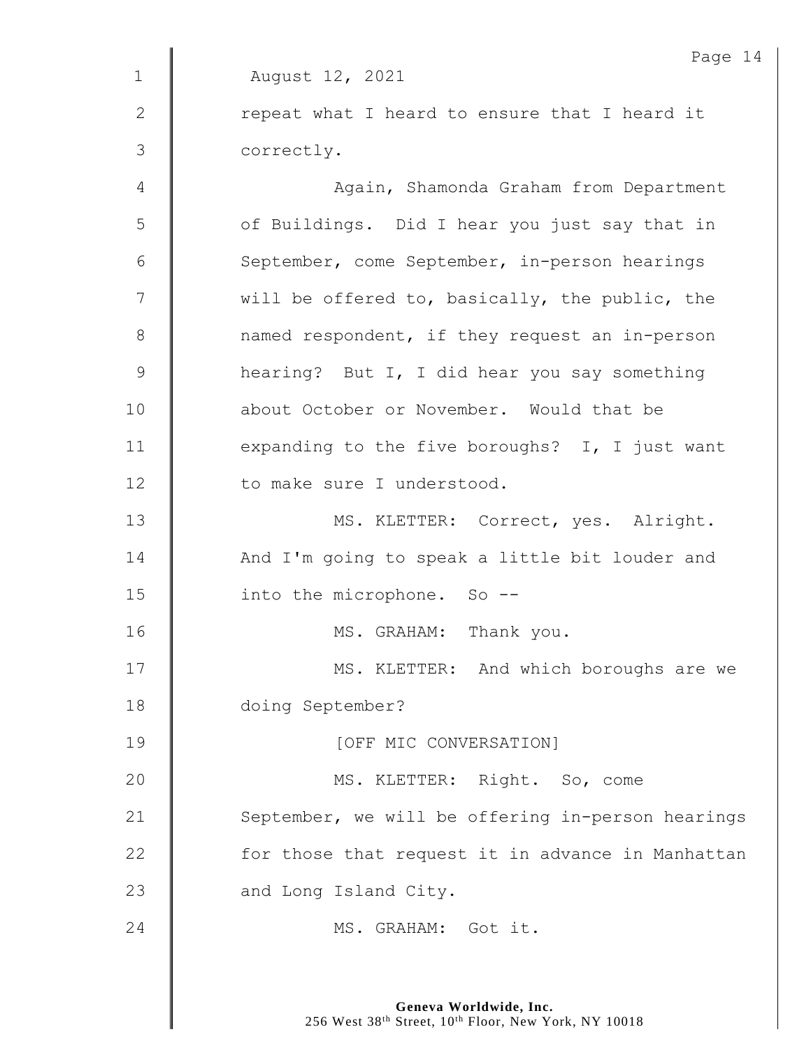|              | Page 14                                           |
|--------------|---------------------------------------------------|
| $\mathbf 1$  | August 12, 2021                                   |
| $\mathbf{2}$ | repeat what I heard to ensure that I heard it     |
| 3            | correctly.                                        |
| 4            | Again, Shamonda Graham from Department            |
| 5            | of Buildings. Did I hear you just say that in     |
| 6            | September, come September, in-person hearings     |
| 7            | will be offered to, basically, the public, the    |
| $8\,$        | named respondent, if they request an in-person    |
| $\mathsf 9$  | hearing? But I, I did hear you say something      |
| 10           | about October or November. Would that be          |
| 11           | expanding to the five boroughs? I, I just want    |
| 12           | to make sure I understood.                        |
| 13           | MS. KLETTER: Correct, yes. Alright.               |
| 14           | And I'm going to speak a little bit louder and    |
| 15           | into the microphone. So --                        |
| 16           | MS. GRAHAM: Thank you.                            |
| 17           | MS. KLETTER: And which boroughs are we            |
| 18           | doing September?                                  |
| 19           | [OFF MIC CONVERSATION]                            |
| 20           | MS. KLETTER: Right. So, come                      |
| 21           | September, we will be offering in-person hearings |
| 22           | for those that request it in advance in Manhattan |
| 23           | and Long Island City.                             |
| 24           | MS. GRAHAM: Got it.                               |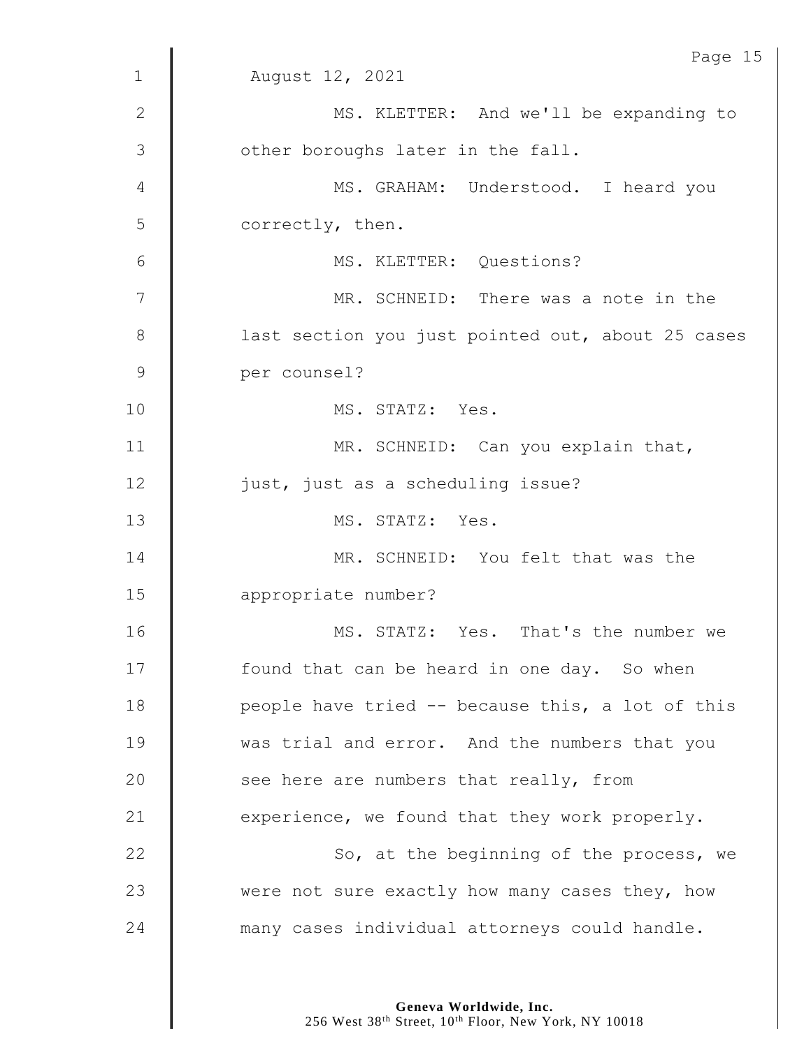|               | Page 15                                           |
|---------------|---------------------------------------------------|
| $\mathbf 1$   | August 12, 2021                                   |
| $\mathbf{2}$  | MS. KLETTER: And we'll be expanding to            |
| 3             | other boroughs later in the fall.                 |
| 4             | MS. GRAHAM: Understood. I heard you               |
| 5             | correctly, then.                                  |
| 6             | MS. KLETTER: Questions?                           |
| 7             | MR. SCHNEID: There was a note in the              |
| $8\,$         | last section you just pointed out, about 25 cases |
| $\mathcal{G}$ | per counsel?                                      |
| 10            | MS. STATZ: Yes.                                   |
| 11            | MR. SCHNEID: Can you explain that,                |
| 12            | just, just as a scheduling issue?                 |
| 13            | MS. STATZ: Yes.                                   |
| 14            | MR. SCHNEID: You felt that was the                |
| 15            | appropriate number?                               |
| 16            | MS. STATZ: Yes. That's the number we              |
| 17            | found that can be heard in one day. So when       |
| 18            | people have tried -- because this, a lot of this  |
| 19            | was trial and error. And the numbers that you     |
| 20            | see here are numbers that really, from            |
| 21            | experience, we found that they work properly.     |
| 22            | So, at the beginning of the process, we           |
| 23            | were not sure exactly how many cases they, how    |
| 24            | many cases individual attorneys could handle.     |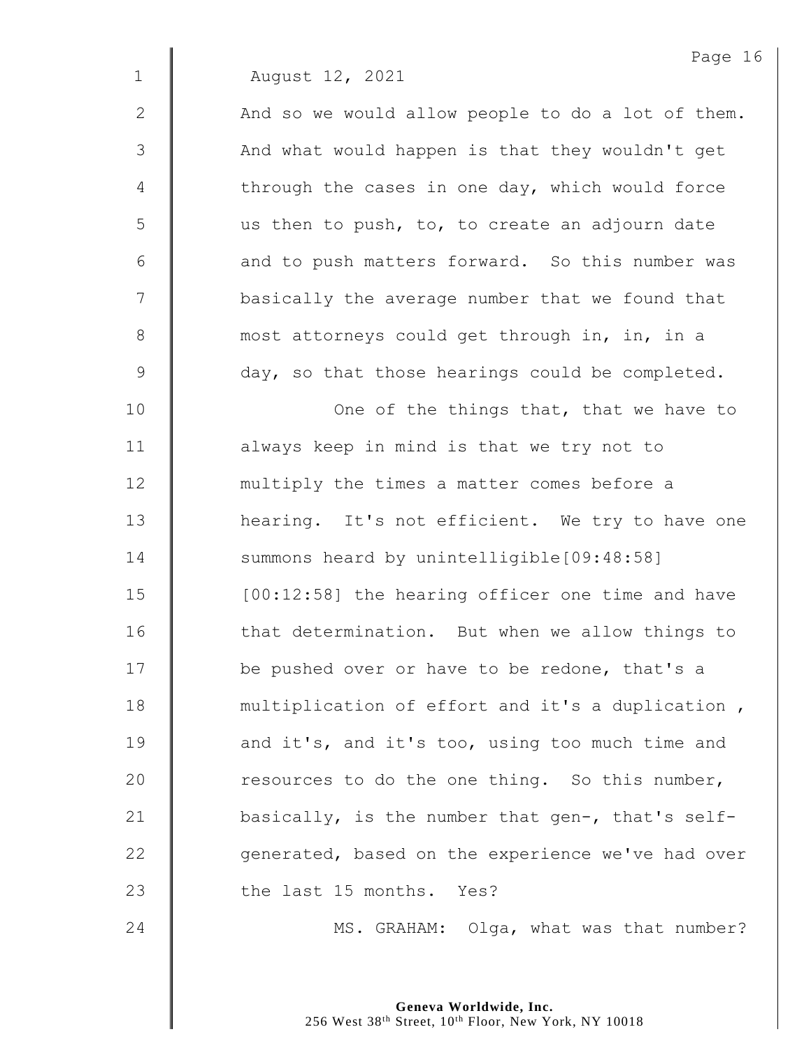1 August 12, 2021

 $2 \parallel$  And so we would allow people to do a lot of them. 3 || And what would happen is that they wouldn't get  $4 \parallel$  through the cases in one day, which would force  $5 \parallel$  us then to push, to, to create an adjourn date  $6$   $\parallel$  and to push matters forward. So this number was 7 | basically the average number that we found that 8 most attorneys could get through in, in, in a 9 day, so that those hearings could be completed.

10 | One of the things that, that we have to 11 | always keep in mind is that we try not to 12 **multiply the times a matter comes before a** 13 | hearing. It's not efficient. We try to have one 14 Summons heard by unintelligible[09:48:58] 15 | [00:12:58] the hearing officer one time and have 16 **that determination.** But when we allow things to 17 | be pushed over or have to be redone, that's a 18 **multiplication of effort and it's a duplication**, 19 **and it's, and it's too, using too much time and** 20  $\parallel$  resources to do the one thing. So this number, 21  $\parallel$  basically, is the number that gen-, that's self-22  $\parallel$  generated, based on the experience we've had over 23 I the last 15 months. Yes?

24 MS. GRAHAM: Olga, what was that number?

**Geneva Worldwide, Inc.** 256 West 38<sup>th</sup> Street, 10<sup>th</sup> Floor, New York, NY 10018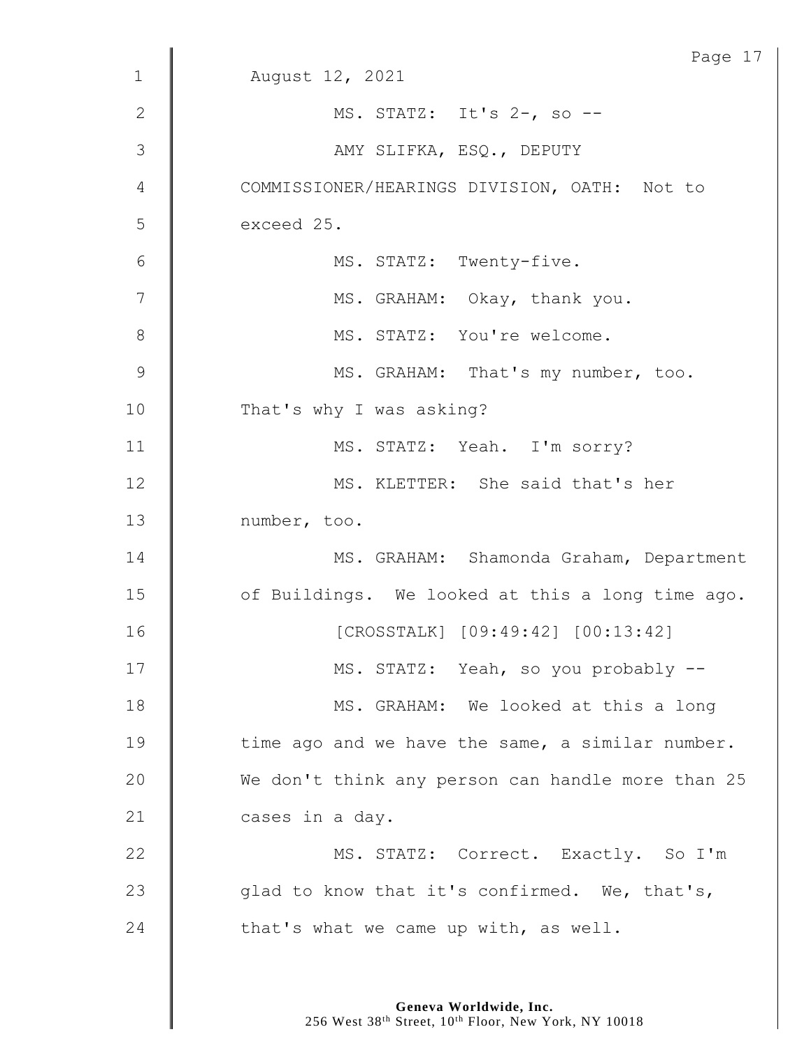|                | Page 17                                           |
|----------------|---------------------------------------------------|
| $\mathbf 1$    | August 12, 2021                                   |
| $\mathbf{2}$   | MS. STATZ: It's 2-, so --                         |
| 3              | AMY SLIFKA, ESQ., DEPUTY                          |
| $\overline{4}$ | COMMISSIONER/HEARINGS DIVISION, OATH: Not to      |
| 5              | exceed 25.                                        |
| 6              | MS. STATZ: Twenty-five.                           |
| $\overline{7}$ | MS. GRAHAM: Okay, thank you.                      |
| 8              | MS. STATZ: You're welcome.                        |
| 9              | MS. GRAHAM: That's my number, too.                |
| 10             | That's why I was asking?                          |
| 11             | MS. STATZ: Yeah. I'm sorry?                       |
| 12             | MS. KLETTER: She said that's her                  |
| 13             | number, too.                                      |
| 14             | MS. GRAHAM: Shamonda Graham, Department           |
| 15             | of Buildings. We looked at this a long time ago.  |
| 16             | [CROSSTALK] [09:49:42] [00:13:42]                 |
| 17             | MS. STATZ: Yeah, so you probably --               |
| 18             | MS. GRAHAM: We looked at this a long              |
| 19             | time ago and we have the same, a similar number.  |
| 20             | We don't think any person can handle more than 25 |
| 21             | cases in a day.                                   |
| 22             | MS. STATZ: Correct. Exactly. So I'm               |
| 23             | glad to know that it's confirmed. We, that's,     |
| 24             | that's what we came up with, as well.             |
|                |                                                   |

**Geneva Worldwide, Inc.**

256 West 38th Street, 10th Floor, New York, NY 10018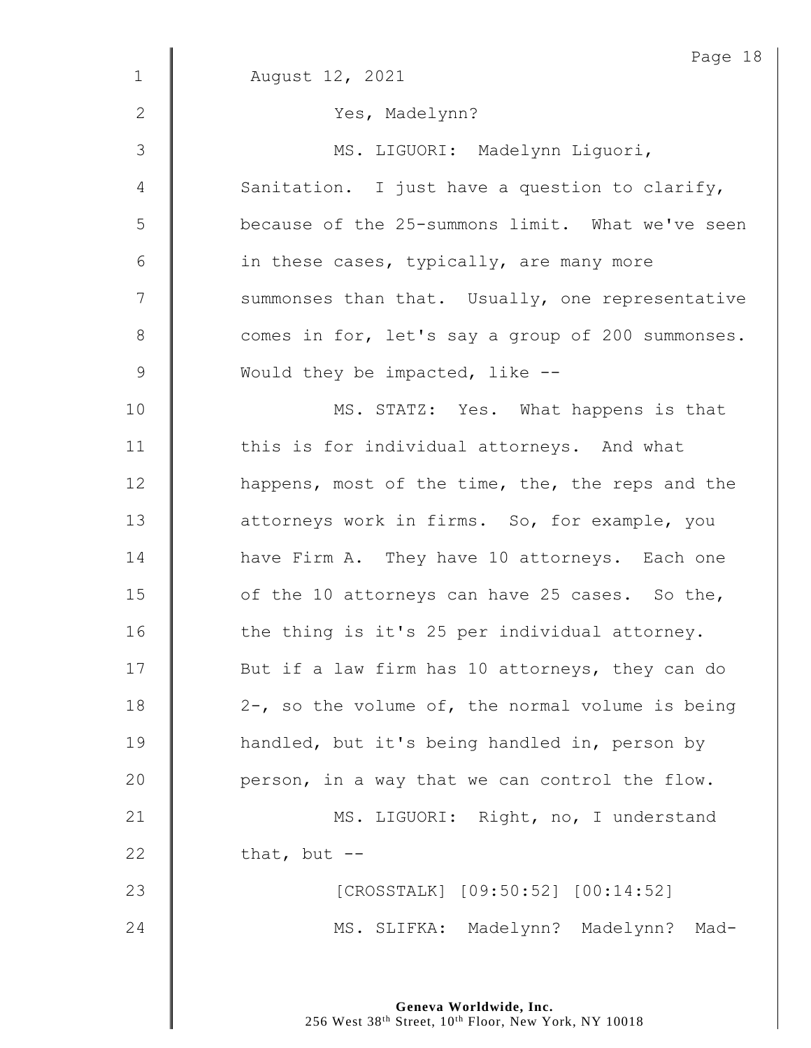| $\mathbf 1$    | Page 18<br>August 12, 2021                          |
|----------------|-----------------------------------------------------|
| 2              | Yes, Madelynn?                                      |
|                |                                                     |
| $\mathcal{S}$  | MS. LIGUORI: Madelynn Liguori,                      |
| $\overline{4}$ | Sanitation. I just have a question to clarify,      |
| 5              | because of the 25-summons limit. What we've seen    |
| 6              | in these cases, typically, are many more            |
| 7              | summonses than that. Usually, one representative    |
| 8              | comes in for, let's say a group of 200 summonses.   |
| $\mathsf 9$    | Would they be impacted, like $-$ -                  |
| 10             | MS. STATZ: Yes. What happens is that                |
| 11             | this is for individual attorneys. And what          |
| 12             | happens, most of the time, the, the reps and the    |
| 13             | attorneys work in firms. So, for example, you       |
| 14             | have Firm A. They have 10 attorneys. Each one       |
| 15             | of the 10 attorneys can have 25 cases. So the,      |
| 16             | the thing is it's 25 per individual attorney.       |
| 17             | But if a law firm has 10 attorneys, they can do     |
| 18             | $2-$ , so the volume of, the normal volume is being |
| 19             | handled, but it's being handled in, person by       |
| 20             | person, in a way that we can control the flow.      |
| 21             | MS. LIGUORI: Right, no, I understand                |
| 22             | that, but $--$                                      |
| 23             | [CROSSTALK] [09:50:52] [00:14:52]                   |
| 24             | MS. SLIFKA: Madelynn? Madelynn? Mad-                |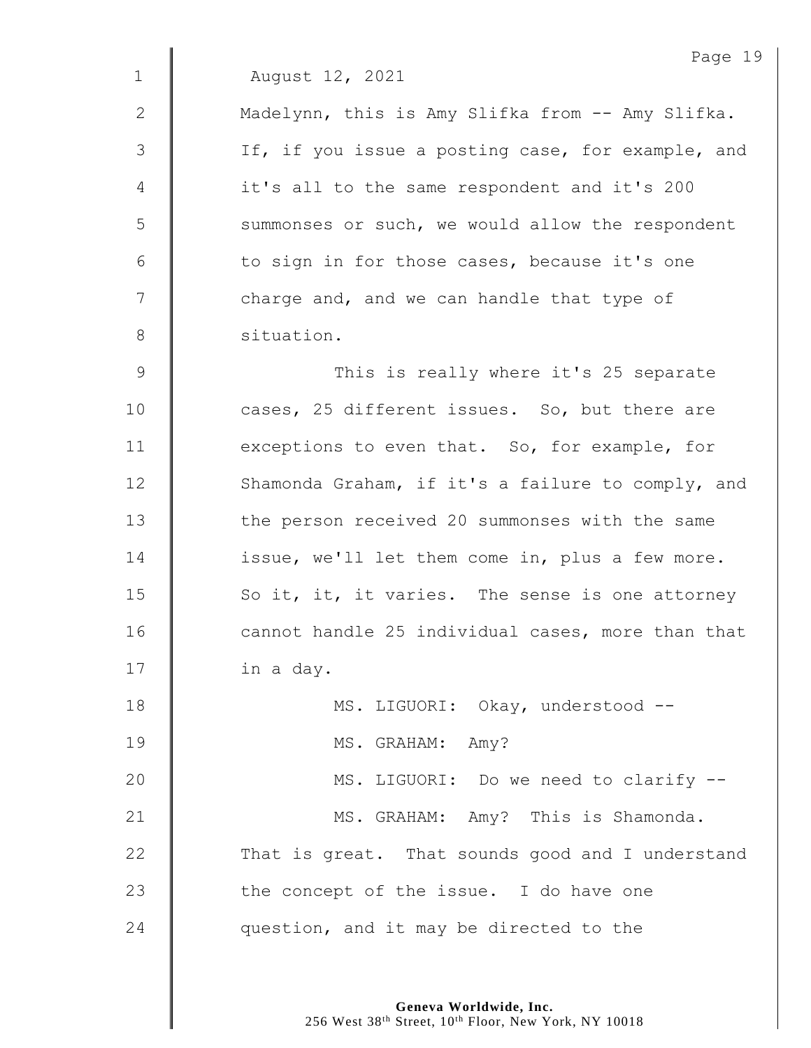|                | Page 19                                           |
|----------------|---------------------------------------------------|
| $\mathbf 1$    | August 12, 2021                                   |
| $\mathbf{2}$   | Madelynn, this is Amy Slifka from -- Amy Slifka.  |
| 3              | If, if you issue a posting case, for example, and |
| $\overline{4}$ | it's all to the same respondent and it's 200      |
| 5              | summonses or such, we would allow the respondent  |
| $6\,$          | to sign in for those cases, because it's one      |
| 7              | charge and, and we can handle that type of        |
| 8              | situation.                                        |
| $\overline{9}$ | This is really where it's 25 separate             |
| 10             | cases, 25 different issues. So, but there are     |
| 11             | exceptions to even that. So, for example, for     |
| 12             | Shamonda Graham, if it's a failure to comply, and |
| 13             | the person received 20 summonses with the same    |
| 14             | issue, we'll let them come in, plus a few more.   |
| 15             | So it, it, it varies. The sense is one attorney   |
| 16             | cannot handle 25 individual cases, more than that |
| 17             | in a day.                                         |
| 18             | MS. LIGUORI: Okay, understood --                  |
| 19             | MS. GRAHAM: Amy?                                  |
| 20             | MS. LIGUORI: Do we need to clarify --             |
| 21             | MS. GRAHAM: Amy? This is Shamonda.                |
| 22             | That is great. That sounds good and I understand  |
| 23             | the concept of the issue. I do have one           |
| 24             | question, and it may be directed to the           |
|                |                                                   |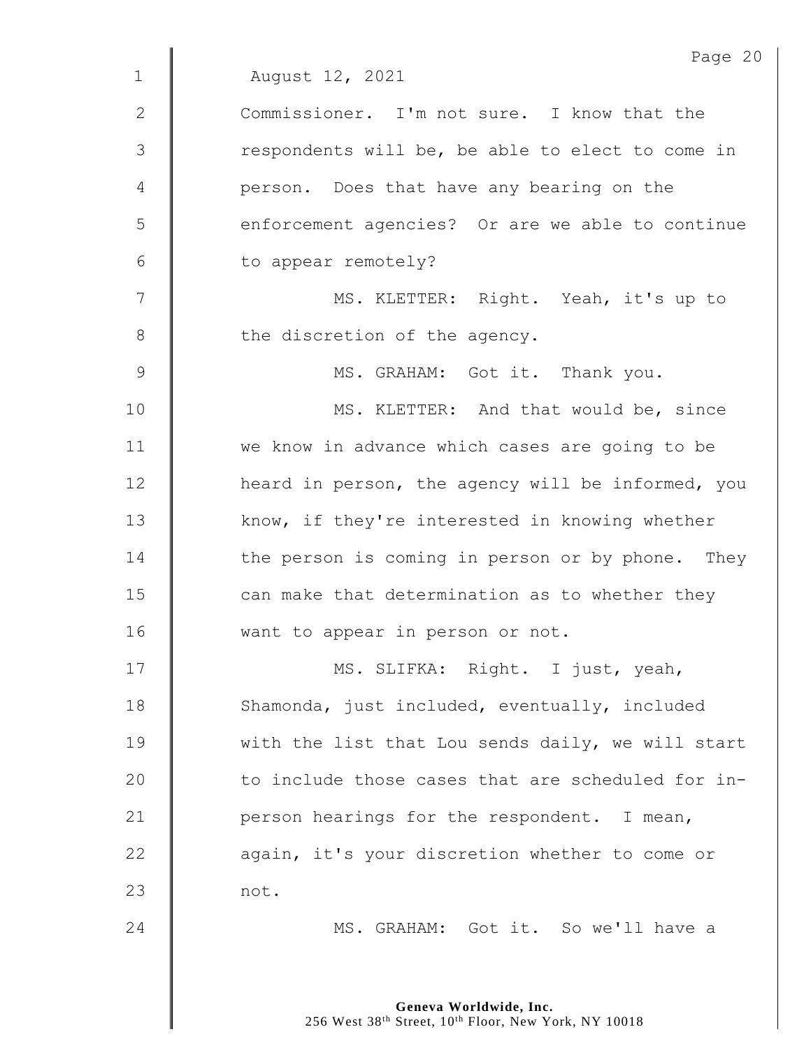|              | Page 20                                           |
|--------------|---------------------------------------------------|
| $\mathbf{1}$ | August 12, 2021                                   |
| 2            | Commissioner. I'm not sure. I know that the       |
| 3            | respondents will be, be able to elect to come in  |
| 4            | person. Does that have any bearing on the         |
| 5            | enforcement agencies? Or are we able to continue  |
| 6            | to appear remotely?                               |
| 7            | MS. KLETTER: Right. Yeah, it's up to              |
| 8            | the discretion of the agency.                     |
| 9            | MS. GRAHAM: Got it. Thank you.                    |
| 10           | MS. KLETTER: And that would be, since             |
| 11           | we know in advance which cases are going to be    |
| 12           | heard in person, the agency will be informed, you |
| 13           | know, if they're interested in knowing whether    |
| 14           | the person is coming in person or by phone. They  |
| 15           | can make that determination as to whether they    |
| 16           | want to appear in person or not.                  |
| 17           | MS. SLIFKA: Right. I just, yeah,                  |
| 18           | Shamonda, just included, eventually, included     |
| 19           | with the list that Lou sends daily, we will start |
| 20           | to include those cases that are scheduled for in- |
| 21           | person hearings for the respondent. I mean,       |
| 22           | again, it's your discretion whether to come or    |
| 23           | not.                                              |
| 24           | MS. GRAHAM: Got it. So we'll have a               |
|              |                                                   |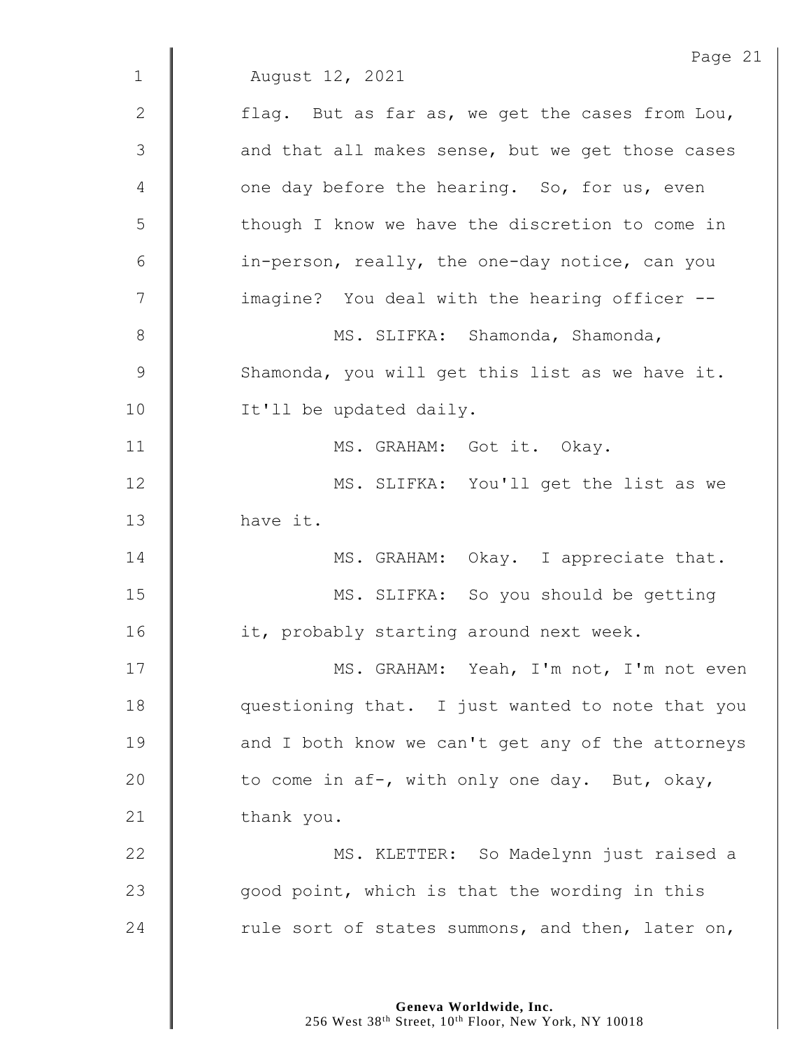|                | Page 21                                           |
|----------------|---------------------------------------------------|
| $\mathbf{1}$   | August 12, 2021                                   |
| $\mathbf{2}$   | flag. But as far as, we get the cases from Lou,   |
| $\mathfrak{Z}$ | and that all makes sense, but we get those cases  |
| 4              | one day before the hearing. So, for us, even      |
| 5              | though I know we have the discretion to come in   |
| 6              | in-person, really, the one-day notice, can you    |
| 7              | imagine? You deal with the hearing officer --     |
| 8              | MS. SLIFKA: Shamonda, Shamonda,                   |
| $\mathsf 9$    | Shamonda, you will get this list as we have it.   |
| 10             | It'll be updated daily.                           |
| 11             | MS. GRAHAM: Got it. Okay.                         |
| 12             | MS. SLIFKA: You'll get the list as we             |
| 13             | have it.                                          |
| 14             | MS. GRAHAM: Okay. I appreciate that.              |
| 15             | MS. SLIFKA: So you should be getting              |
| 16             | it, probably starting around next week.           |
| 17             | MS. GRAHAM: Yeah, I'm not, I'm not even           |
| 18             | questioning that. I just wanted to note that you  |
| 19             | and I both know we can't get any of the attorneys |
| 20             | to come in af-, with only one day. But, okay,     |
| 21             | thank you.                                        |
| 22             | MS. KLETTER: So Madelynn just raised a            |
| 23             | good point, which is that the wording in this     |
| 24             | rule sort of states summons, and then, later on,  |
|                |                                                   |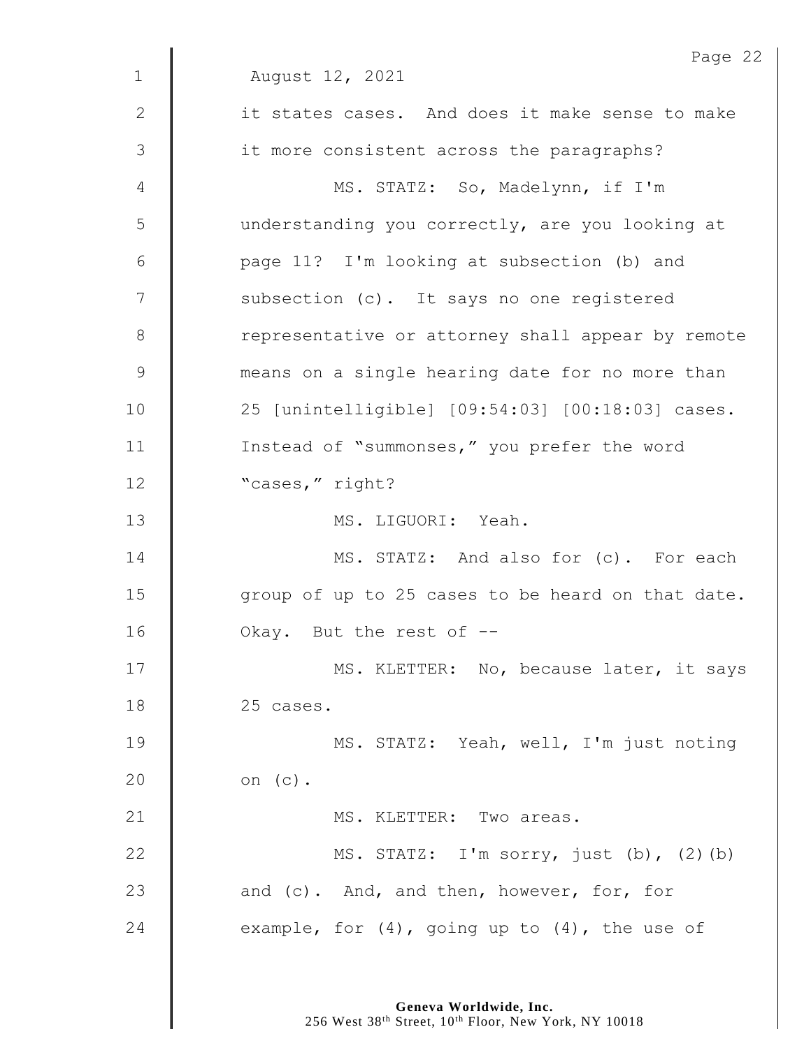|             | Page 22                                             |
|-------------|-----------------------------------------------------|
| $\mathbf 1$ | August 12, 2021                                     |
| 2           | it states cases. And does it make sense to make     |
| 3           | it more consistent across the paragraphs?           |
| 4           | MS. STATZ: So, Madelynn, if I'm                     |
| 5           | understanding you correctly, are you looking at     |
| 6           | page 11? I'm looking at subsection (b) and          |
| 7           | subsection (c). It says no one registered           |
| 8           | representative or attorney shall appear by remote   |
| $\mathsf 9$ | means on a single hearing date for no more than     |
| 10          | 25 [unintelligible] [09:54:03] [00:18:03] cases.    |
| 11          | Instead of "summonses," you prefer the word         |
| 12          | "cases," right?                                     |
| 13          | MS. LIGUORI: Yeah.                                  |
| 14          | MS. STATZ: And also for (c). For each               |
| 15          | group of up to 25 cases to be heard on that date.   |
| 16          | Okay. But the rest of --                            |
| 17          | MS. KLETTER: No, because later, it says             |
| 18          | 25 cases.                                           |
| 19          | MS. STATZ: Yeah, well, I'm just noting              |
| 20          | on $(c)$ .                                          |
| 21          | MS. KLETTER: Two areas.                             |
| 22          | MS. STATZ: I'm sorry, just (b), (2)(b)              |
| 23          | and (c). And, and then, however, for, for           |
| 24          | example, for $(4)$ , going up to $(4)$ , the use of |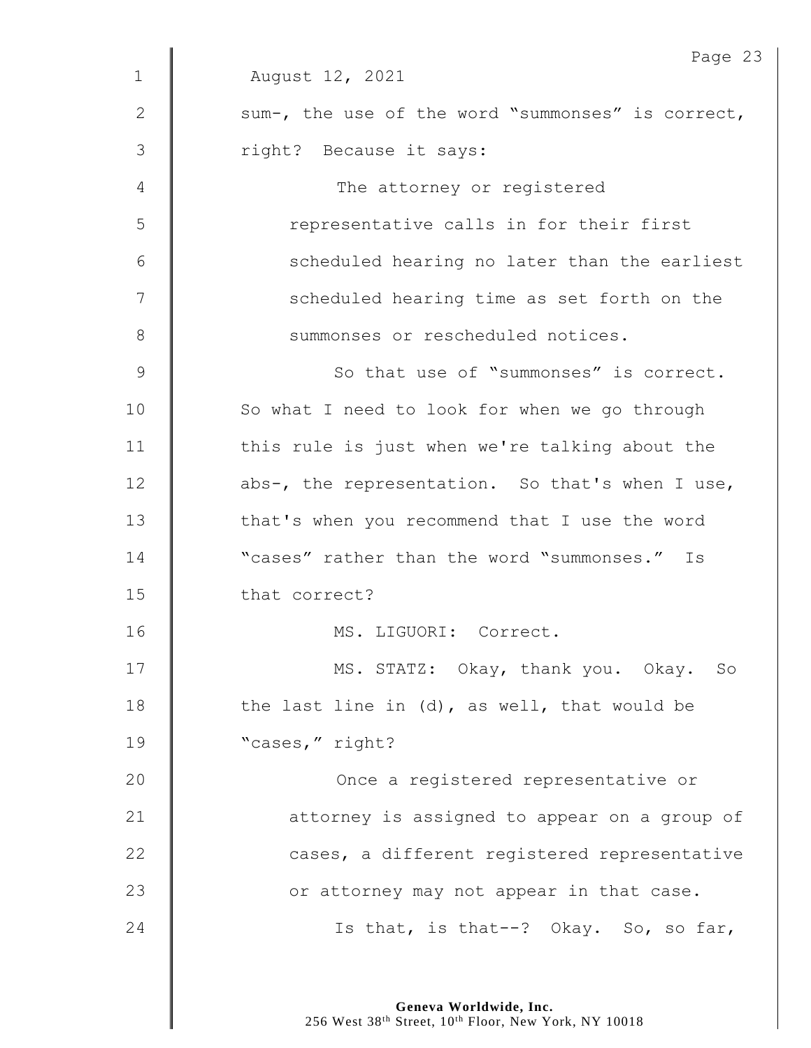|                | Page 23                                           |
|----------------|---------------------------------------------------|
| $\mathbf 1$    | August 12, 2021                                   |
| $\mathbf{2}$   | sum-, the use of the word "summonses" is correct, |
| $\mathfrak{Z}$ | right? Because it says:                           |
| 4              | The attorney or registered                        |
| 5              | representative calls in for their first           |
| $6\,$          | scheduled hearing no later than the earliest      |
| 7              | scheduled hearing time as set forth on the        |
| $8\,$          | summonses or rescheduled notices.                 |
| $\mathsf 9$    | So that use of "summonses" is correct.            |
| 10             | So what I need to look for when we go through     |
| 11             | this rule is just when we're talking about the    |
| 12             | abs-, the representation. So that's when I use,   |
| 13             | that's when you recommend that I use the word     |
| 14             | "cases" rather than the word "summonses." Is      |
| 15             | that correct?                                     |
| 16             | MS. LIGUORI: Correct.                             |
| 17             | MS. STATZ: Okay, thank you. Okay. So              |
| 18             | the last line in (d), as well, that would be      |
| 19             | "cases," right?                                   |
| 20             | Once a registered representative or               |
| 21             | attorney is assigned to appear on a group of      |
| 22             | cases, a different registered representative      |
| 23             | or attorney may not appear in that case.          |
| 24             | Is that, is that--? Okay. So, so far,             |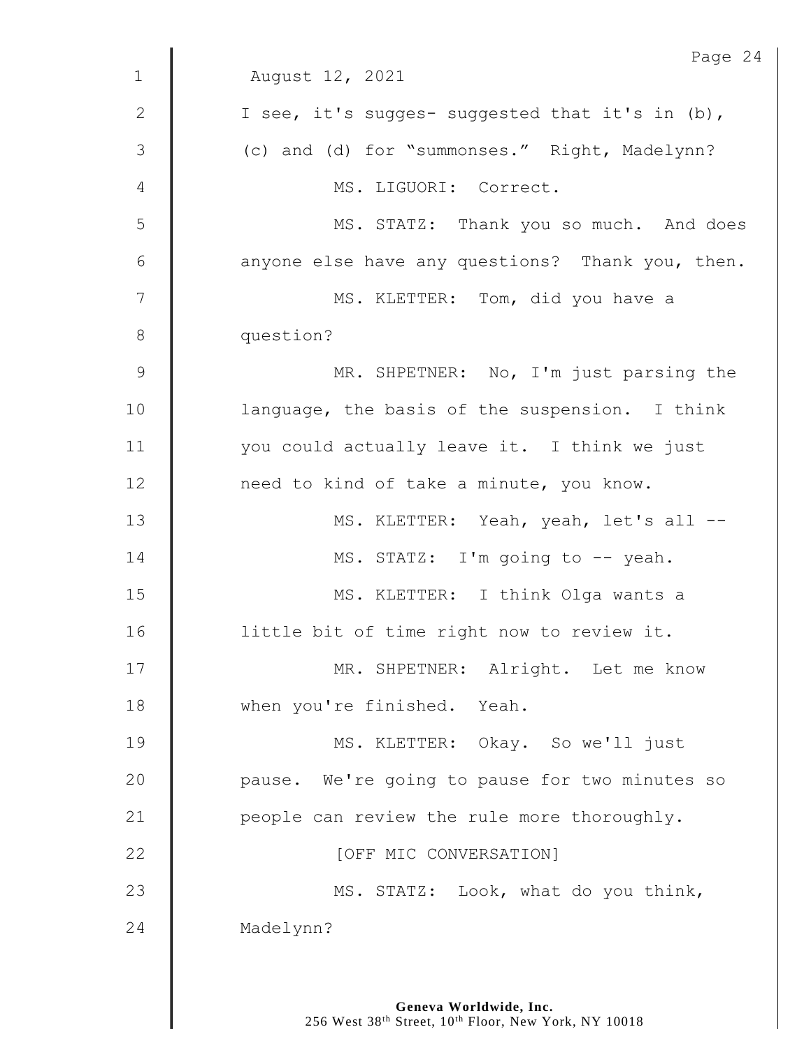|                 | Page 24                                          |
|-----------------|--------------------------------------------------|
| $\mathbf{1}$    | August 12, 2021                                  |
| $\mathbf{2}$    | I see, it's sugges- suggested that it's in (b),  |
| 3               | (c) and (d) for "summonses." Right, Madelynn?    |
| 4               | MS. LIGUORI: Correct.                            |
| 5               | MS. STATZ: Thank you so much. And does           |
| $6\phantom{1}6$ | anyone else have any questions? Thank you, then. |
| 7               | MS. KLETTER: Tom, did you have a                 |
| $8\,$           | question?                                        |
| $\mathcal{G}$   | MR. SHPETNER: No, I'm just parsing the           |
| 10              | language, the basis of the suspension. I think   |
| 11              | you could actually leave it. I think we just     |
| 12              | need to kind of take a minute, you know.         |
| 13              | MS. KLETTER: Yeah, yeah, let's all --            |
| 14              | MS. STATZ: I'm going to -- yeah.                 |
| 15              | MS. KLETTER: I think Olga wants a                |
| 16              | little bit of time right now to review it.       |
| 17              | MR. SHPETNER: Alright. Let me know               |
| 18              | when you're finished. Yeah.                      |
| 19              | MS. KLETTER: Okay. So we'll just                 |
| 20              | pause. We're going to pause for two minutes so   |
| 21              | people can review the rule more thoroughly.      |
| 22              | [OFF MIC CONVERSATION]                           |
| 23              | MS. STATZ: Look, what do you think,              |
| 24              | Madelynn?                                        |
|                 |                                                  |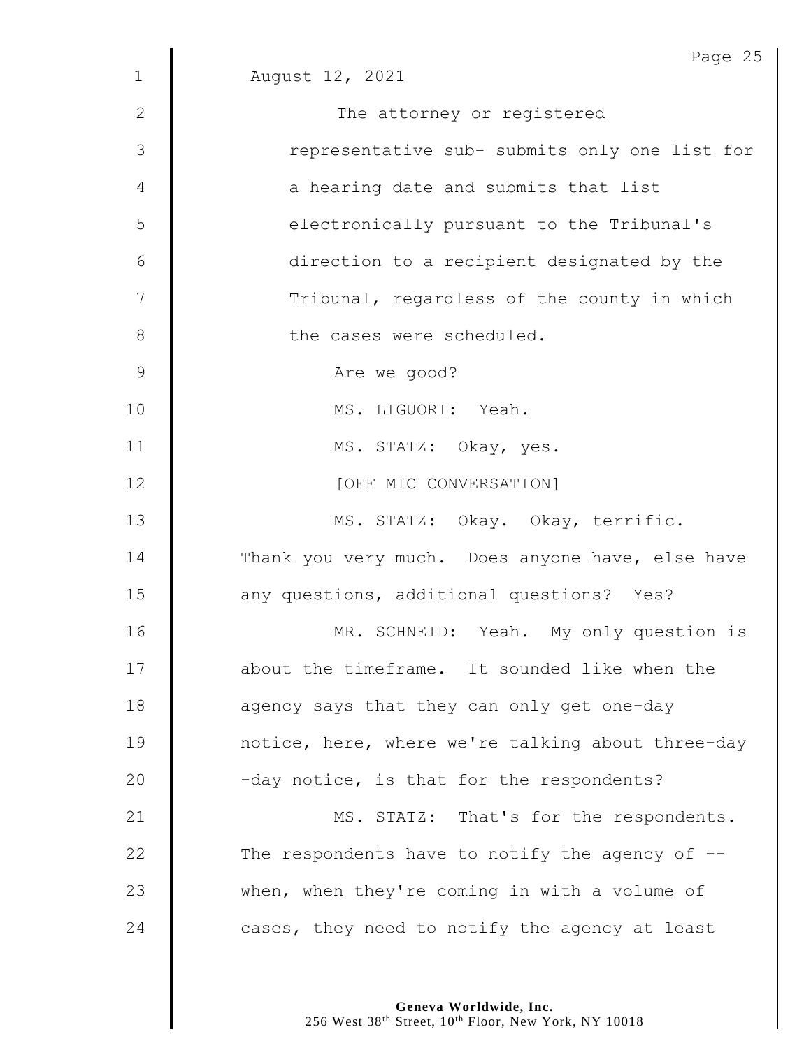|                | Page 25                                            |
|----------------|----------------------------------------------------|
| $\mathbf{1}$   | August 12, 2021                                    |
| $\mathbf{2}$   | The attorney or registered                         |
| 3              | representative sub- submits only one list for      |
| 4              | a hearing date and submits that list               |
| 5              | electronically pursuant to the Tribunal's          |
| 6              | direction to a recipient designated by the         |
| 7              | Tribunal, regardless of the county in which        |
| 8              | the cases were scheduled.                          |
| $\overline{9}$ | Are we good?                                       |
| 10             | MS. LIGUORI: Yeah.                                 |
| 11             | MS. STATZ: Okay, yes.                              |
| 12             | [OFF MIC CONVERSATION]                             |
| 13             | MS. STATZ: Okay. Okay, terrific.                   |
| 14             | Thank you very much. Does anyone have, else have   |
| 15             | any questions, additional questions? Yes?          |
| 16             | MR. SCHNEID: Yeah. My only question is             |
| 17             | about the timeframe. It sounded like when the      |
| 18             | agency says that they can only get one-day         |
| 19             | notice, here, where we're talking about three-day  |
| 20             | -day notice, is that for the respondents?          |
| 21             | MS. STATZ: That's for the respondents.             |
| 22             | The respondents have to notify the agency of $-$ - |
| 23             | when, when they're coming in with a volume of      |
| 24             | cases, they need to notify the agency at least     |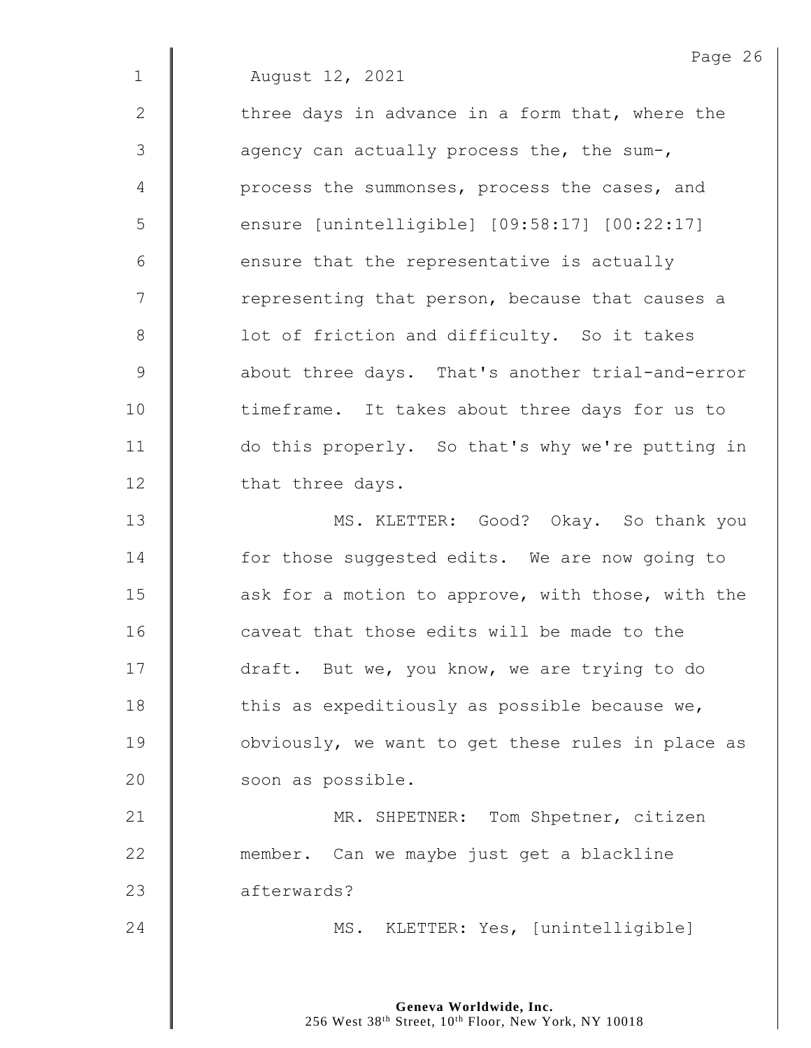|                | Page 26                                           |
|----------------|---------------------------------------------------|
| $\mathbf 1$    | August 12, 2021                                   |
| 2              | three days in advance in a form that, where the   |
| 3              | agency can actually process the, the sum-,        |
| $\overline{4}$ | process the summonses, process the cases, and     |
| 5              | ensure [unintelligible] [09:58:17] [00:22:17]     |
| 6              | ensure that the representative is actually        |
| 7              | representing that person, because that causes a   |
| $8\,$          | lot of friction and difficulty. So it takes       |
| $\mathsf 9$    | about three days. That's another trial-and-error  |
| 10             | timeframe. It takes about three days for us to    |
| 11             | do this properly. So that's why we're putting in  |
| 12             | that three days.                                  |
| 13             | MS. KLETTER: Good? Okay. So thank you             |
| 14             | for those suggested edits. We are now going to    |
| 15             | ask for a motion to approve, with those, with the |
| 16             | caveat that those edits will be made to the       |
| 17             | draft. But we, you know, we are trying to do      |
| 18             | this as expeditiously as possible because we,     |
| 19             | obviously, we want to get these rules in place as |
| 20             | soon as possible.                                 |
| 21             | MR. SHPETNER: Tom Shpetner, citizen               |
| 22             | member. Can we maybe just get a blackline         |
| 23             | afterwards?                                       |
| 24             | MS. KLETTER: Yes, [unintelligible]                |
|                |                                                   |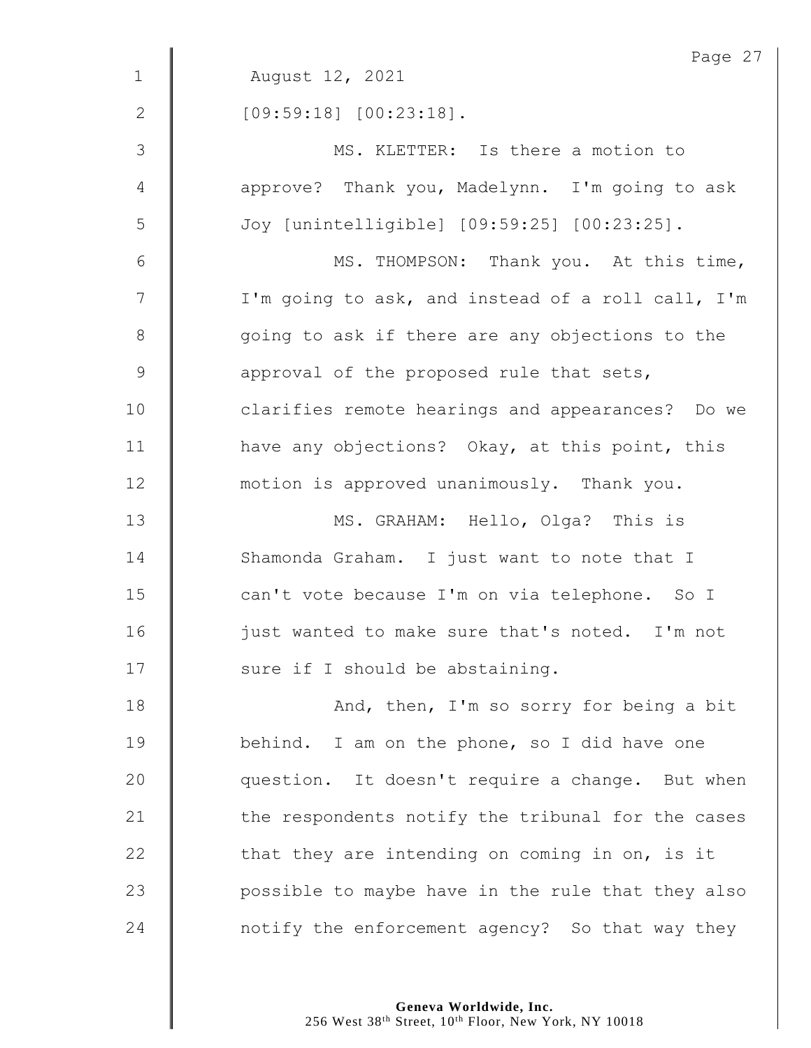|                | Page 27                                           |
|----------------|---------------------------------------------------|
| $\mathbf{1}$   | August 12, 2021                                   |
| $\mathbf{2}$   | $[09:59:18]$ $[00:23:18]$ .                       |
| $\mathfrak{Z}$ | MS. KLETTER: Is there a motion to                 |
| $\overline{4}$ | approve? Thank you, Madelynn. I'm going to ask    |
| 5              | Joy [unintelligible] [09:59:25] [00:23:25].       |
| $\sqrt{6}$     | MS. THOMPSON: Thank you. At this time,            |
| $\overline{7}$ | I'm going to ask, and instead of a roll call, I'm |
| $\,8\,$        | going to ask if there are any objections to the   |
| $\mathsf 9$    | approval of the proposed rule that sets,          |
| 10             | clarifies remote hearings and appearances? Do we  |
| 11             | have any objections? Okay, at this point, this    |
| 12             | motion is approved unanimously. Thank you.        |
| 13             | MS. GRAHAM: Hello, Olga? This is                  |
| 14             | Shamonda Graham. I just want to note that I       |
| 15             | can't vote because I'm on via telephone. So I     |
| 16             | just wanted to make sure that's noted. I'm not    |
| 17             | sure if I should be abstaining.                   |
| 18             | And, then, I'm so sorry for being a bit           |
| 19             | behind. I am on the phone, so I did have one      |
| 20             | question. It doesn't require a change. But when   |
| 21             | the respondents notify the tribunal for the cases |
| 22             | that they are intending on coming in on, is it    |
| 23             | possible to maybe have in the rule that they also |
| 24             | notify the enforcement agency? So that way they   |
|                |                                                   |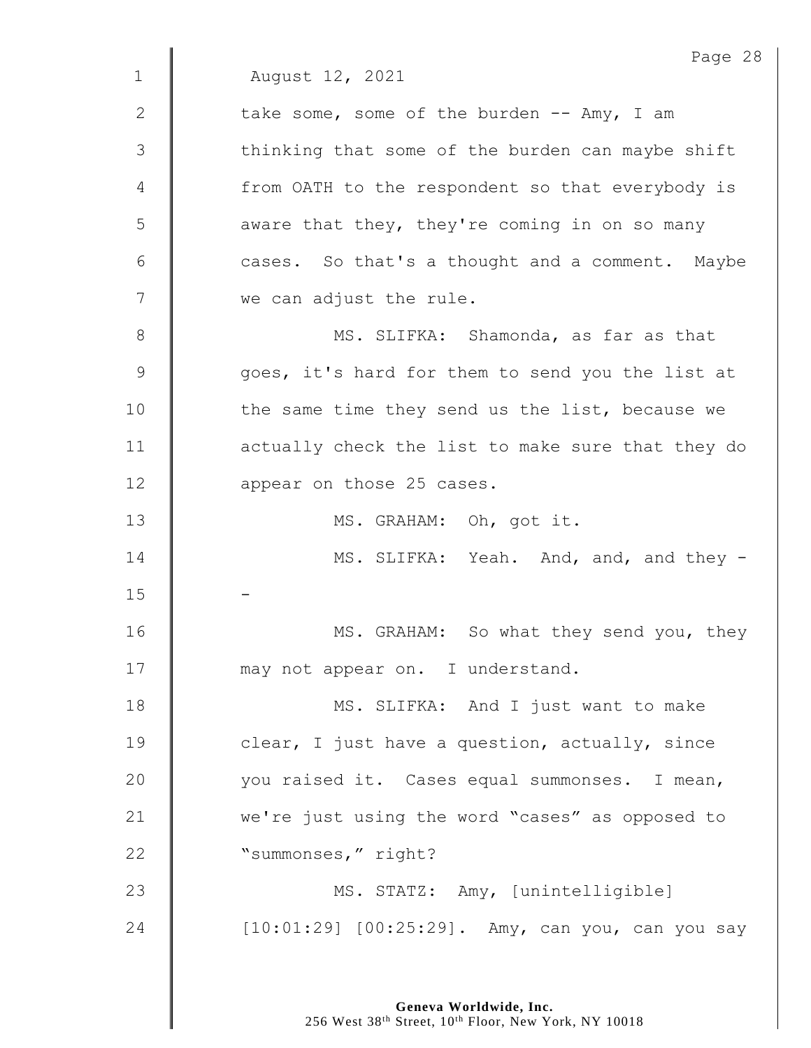Page 28 1 August 12, 2021 2  $\parallel$  take some, some of the burden -- Amy, I am 3 | thinking that some of the burden can maybe shift 4 || from OATH to the respondent so that everybody is 5 | aware that they, they're coming in on so many  $6$   $\parallel$  cases. So that's a thought and a comment. Maybe 7 we can adjust the rule. 8 || MS. SLIFKA: Shamonda, as far as that 9 goes, it's hard for them to send you the list at 10 | the same time they send us the list, because we 11 | actually check the list to make sure that they do 12 **deg** appear on those 25 cases. 13 || MS. GRAHAM: Oh, got it. 14 **MS. SLIFKA:** Yeah. And, and, and they -15 16 | MS. GRAHAM: So what they send you, they 17 **I** may not appear on. I understand. 18 || MS. SLIFKA: And I just want to make 19 **clear,** I just have a question, actually, since 20 | vou raised it. Cases equal summonses. I mean, 21 we're just using the word "cases" as opposed to 22 | "summonses," right? 23 | MS. STATZ: Amy, [unintelligible] 24 | [10:01:29] [00:25:29]. Amy, can you, can you say

> **Geneva Worldwide, Inc.** 256 West 38<sup>th</sup> Street, 10<sup>th</sup> Floor, New York, NY 10018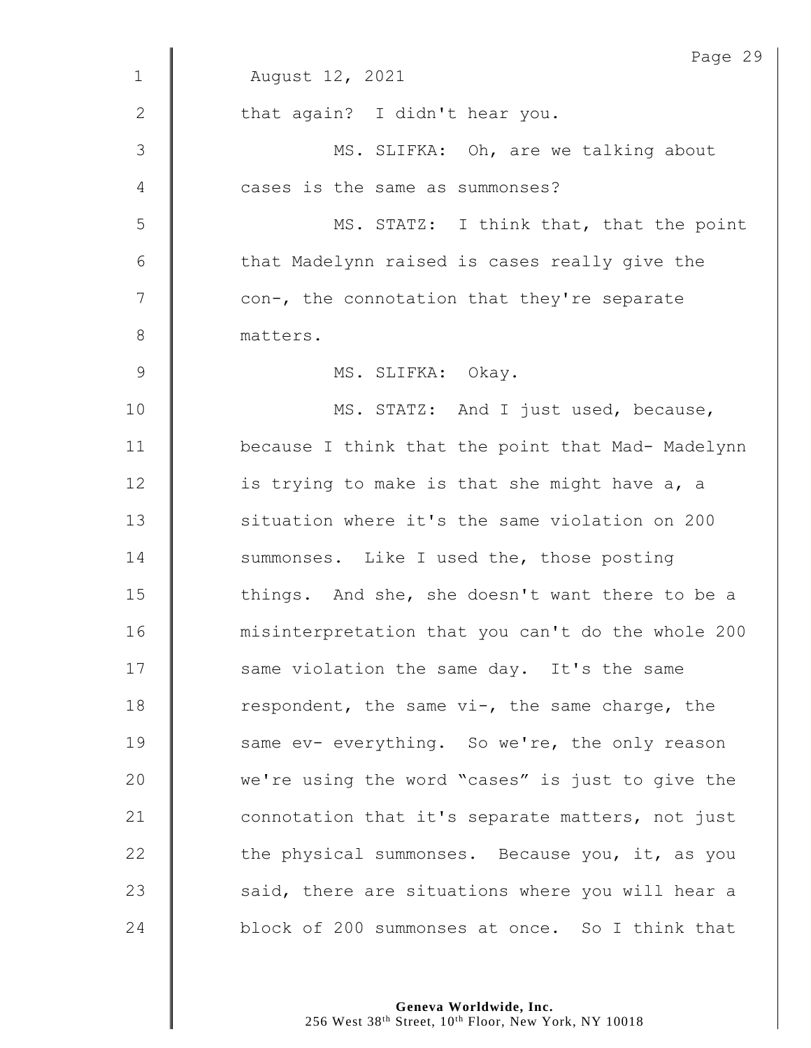|             | Page 29                                           |
|-------------|---------------------------------------------------|
| $\mathbf 1$ | August 12, 2021                                   |
| 2           | that again? I didn't hear you.                    |
| 3           | MS. SLIFKA: Oh, are we talking about              |
| 4           | cases is the same as summonses?                   |
| 5           | MS. STATZ: I think that, that the point           |
| 6           | that Madelynn raised is cases really give the     |
| 7           | con-, the connotation that they're separate       |
| 8           | matters.                                          |
| 9           | MS. SLIFKA: Okay.                                 |
| 10          | MS. STATZ: And I just used, because,              |
| 11          | because I think that the point that Mad- Madelynn |
| 12          | is trying to make is that she might have a, a     |
| 13          | situation where it's the same violation on 200    |
| 14          | summonses. Like I used the, those posting         |
| 15          | things. And she, she doesn't want there to be a   |
| 16          | misinterpretation that you can't do the whole 200 |
| 17          | same violation the same day. It's the same        |
| 18          | respondent, the same vi-, the same charge, the    |
| 19          | same ev- everything. So we're, the only reason    |
| 20          | we're using the word "cases" is just to give the  |
| 21          | connotation that it's separate matters, not just  |
| 22          | the physical summonses. Because you, it, as you   |
| 23          | said, there are situations where you will hear a  |
| 24          | block of 200 summonses at once. So I think that   |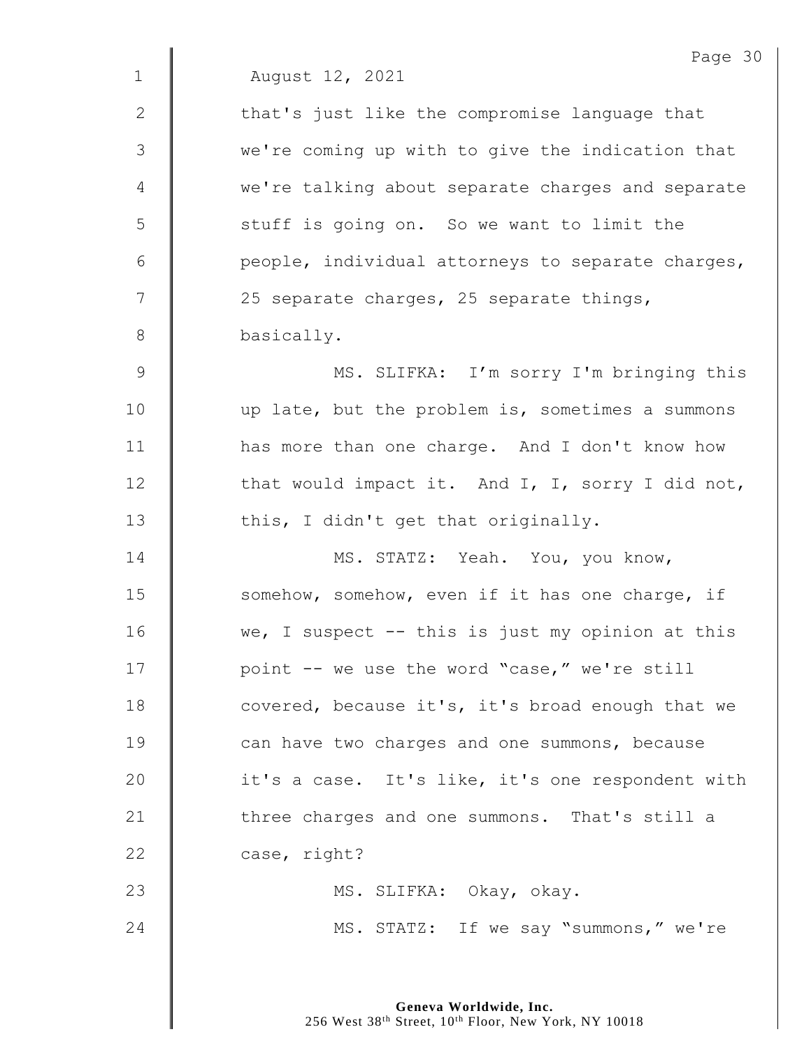|               | Page 30                                             |
|---------------|-----------------------------------------------------|
| $\mathbf{1}$  | August 12, 2021                                     |
| $\mathbf{2}$  | that's just like the compromise language that       |
| 3             | we're coming up with to give the indication that    |
| 4             | we're talking about separate charges and separate   |
| 5             | stuff is going on. So we want to limit the          |
| 6             | people, individual attorneys to separate charges,   |
| 7             | 25 separate charges, 25 separate things,            |
| $8\,$         | basically.                                          |
| $\mathcal{G}$ | MS. SLIFKA: I'm sorry I'm bringing this             |
| 10            | up late, but the problem is, sometimes a summons    |
| 11            | has more than one charge. And I don't know how      |
| 12            | that would impact it. And I, I, sorry I did not,    |
| 13            | this, I didn't get that originally.                 |
| 14            | MS. STATZ: Yeah. You, you know,                     |
| 15            | somehow, somehow, even if it has one charge, if     |
| 16            | we, I suspect $-$ - this is just my opinion at this |
| 17            | point -- we use the word "case," we're still        |
| 18            | covered, because it's, it's broad enough that we    |
| 19            | can have two charges and one summons, because       |
| 20            | it's a case. It's like, it's one respondent with    |
| 21            | three charges and one summons. That's still a       |
| 22            | case, right?                                        |
| 23            | MS. SLIFKA: Okay, okay.                             |
| 24            | MS. STATZ: If we say "summons," we're               |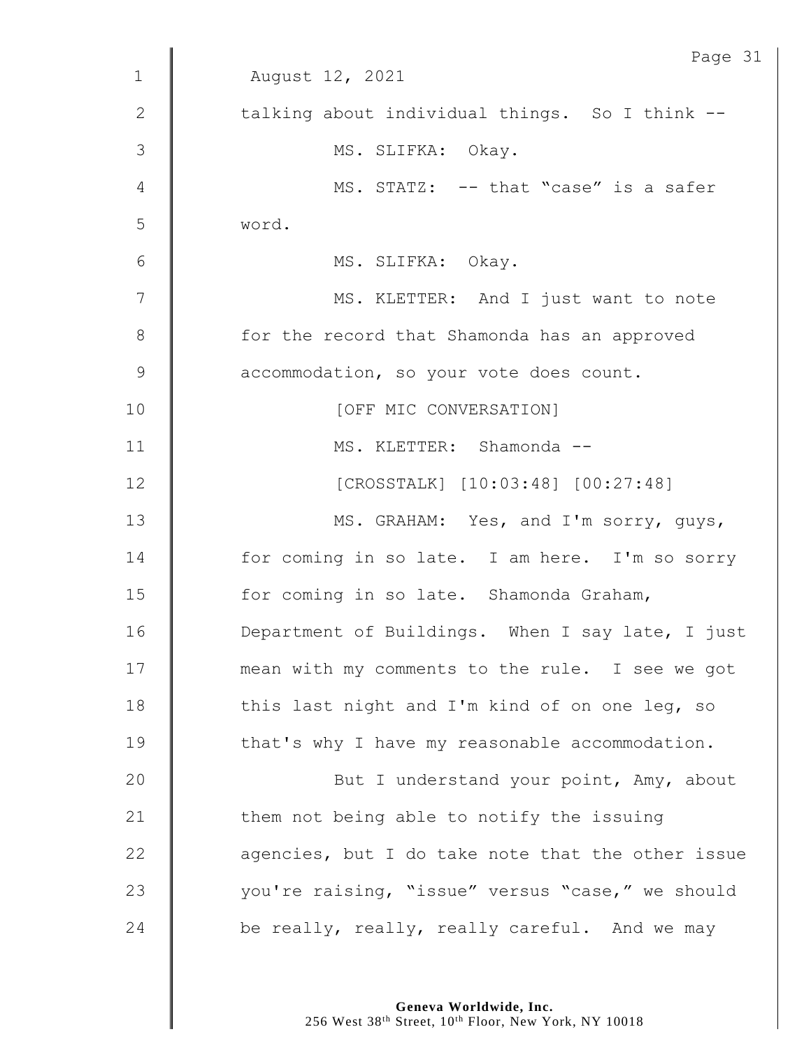|                | Page 31                                           |
|----------------|---------------------------------------------------|
| $\mathbf{1}$   | August 12, 2021                                   |
| 2              | talking about individual things. So I think --    |
| 3              | MS. SLIFKA: Okay.                                 |
| $\overline{4}$ | MS. STATZ: -- that "case" is a safer              |
| 5              | word.                                             |
| 6              | MS. SLIFKA: Okay.                                 |
| 7              | MS. KLETTER: And I just want to note              |
| $8\,$          | for the record that Shamonda has an approved      |
| $\mathcal{G}$  | accommodation, so your vote does count.           |
| 10             | [OFF MIC CONVERSATION]                            |
| 11             | MS. KLETTER: Shamonda --                          |
| 12             | [CROSSTALK] [10:03:48] [00:27:48]                 |
| 13             | MS. GRAHAM: Yes, and I'm sorry, guys,             |
| 14             | for coming in so late. I am here. I'm so sorry    |
| 15             | for coming in so late. Shamonda Graham,           |
| 16             | Department of Buildings. When I say late, I just  |
| 17             | mean with my comments to the rule. I see we got   |
| 18             | this last night and I'm kind of on one leg, so    |
| 19             | that's why I have my reasonable accommodation.    |
| 20             | But I understand your point, Amy, about           |
| 21             | them not being able to notify the issuing         |
| 22             | agencies, but I do take note that the other issue |
| 23             | you're raising, "issue" versus "case," we should  |
| 24             | be really, really, really careful. And we may     |

**Geneva Worldwide, Inc.**

256 West 38th Street, 10th Floor, New York, NY 10018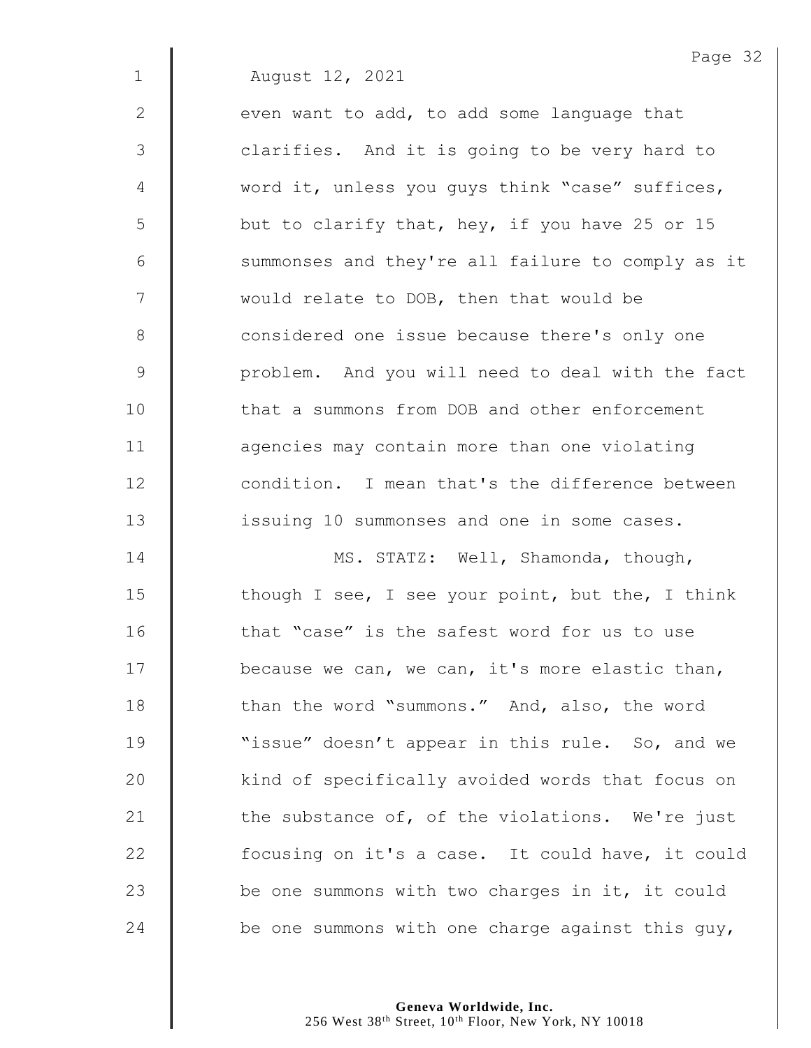1 August 12, 2021

2  $\parallel$  even want to add, to add some language that 3 | clarifies. And it is going to be very hard to 4 word it, unless you guys think "case" suffices,  $5 \parallel$  but to clarify that, hey, if you have 25 or 15 6 | summonses and they're all failure to comply as it  $7 \parallel$  would relate to DOB, then that would be 8 **Considered one issue because there's only one** 9 | problem. And you will need to deal with the fact 10 **follow** that a summons from DOB and other enforcement 11 **degeries 1** agencies may contain more than one violating 12 **condition.** I mean that's the difference between 13 **issuing 10 summonses and one in some cases.** 

14 | MS. STATZ: Well, Shamonda, though,  $\parallel$  though I see, I see your point, but the, I think **that "case" is the safest word for us to use**  $\parallel$  because we can, we can, it's more elastic than, **than the word "summons."** And, also, the word **||** "issue" doesn't appear in this rule. So, and we 20 | kind of specifically avoided words that focus on  $\parallel$  the substance of, of the violations. We're just 22 | focusing on it's a case. It could have, it could  $\parallel$  be one summons with two charges in it, it could  $\parallel$  be one summons with one charge against this guy,

> **Geneva Worldwide, Inc.** 256 West 38<sup>th</sup> Street, 10<sup>th</sup> Floor, New York, NY 10018

Page 32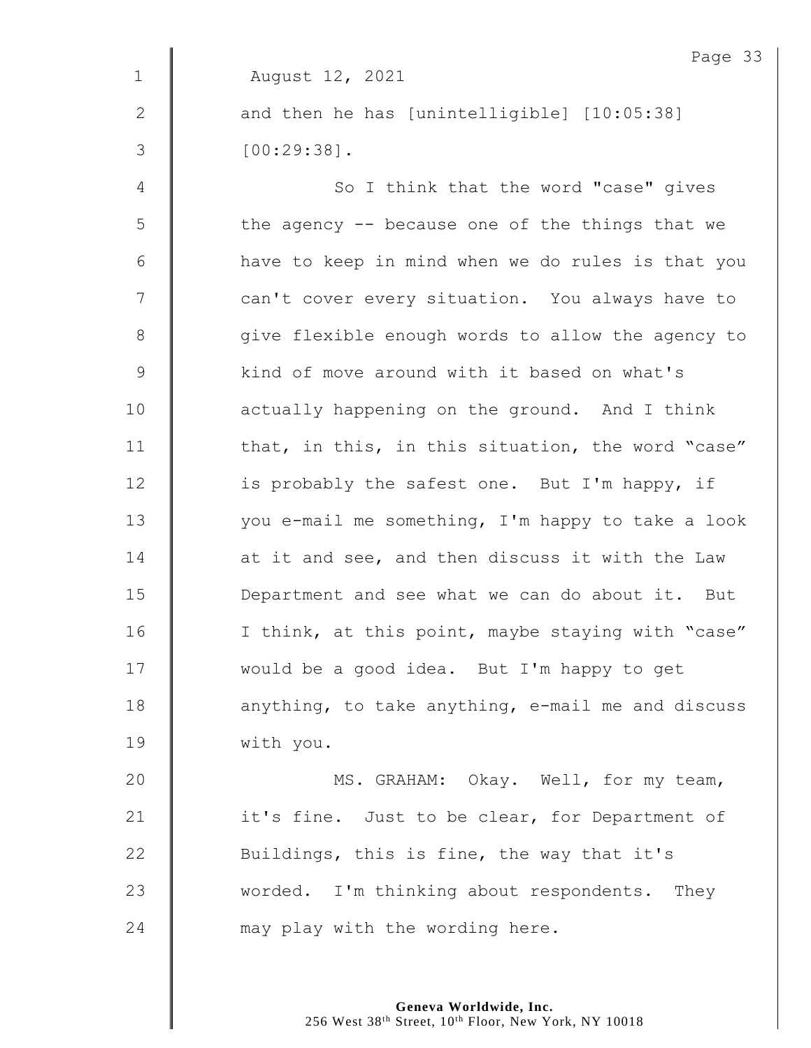|              | Page 33                                           |
|--------------|---------------------------------------------------|
| $\mathbf 1$  | August 12, 2021                                   |
| $\mathbf{2}$ | and then he has [unintelligible] [10:05:38]       |
| 3            | $[00:29:38]$ .                                    |
| 4            | So I think that the word "case" gives             |
| 5            | the agency $-$ because one of the things that we  |
| $\epsilon$   | have to keep in mind when we do rules is that you |
| 7            | can't cover every situation. You always have to   |
| $\,8\,$      | give flexible enough words to allow the agency to |
| $\mathsf 9$  | kind of move around with it based on what's       |
| 10           | actually happening on the ground. And I think     |
| 11           | that, in this, in this situation, the word "case" |
| 12           | is probably the safest one. But I'm happy, if     |
| 13           | you e-mail me something, I'm happy to take a look |
| 14           | at it and see, and then discuss it with the Law   |
| 15           | Department and see what we can do about it. But   |
| 16           | I think, at this point, maybe staying with "case" |
| 17           | would be a good idea. But I'm happy to get        |
| 18           | anything, to take anything, e-mail me and discuss |
| 19           | with you.                                         |
| 20           | MS. GRAHAM: Okay. Well, for my team,              |
| 21           | it's fine. Just to be clear, for Department of    |
| 22           | Buildings, this is fine, the way that it's        |
| 23           | worded. I'm thinking about respondents. They      |
| 24           | may play with the wording here.                   |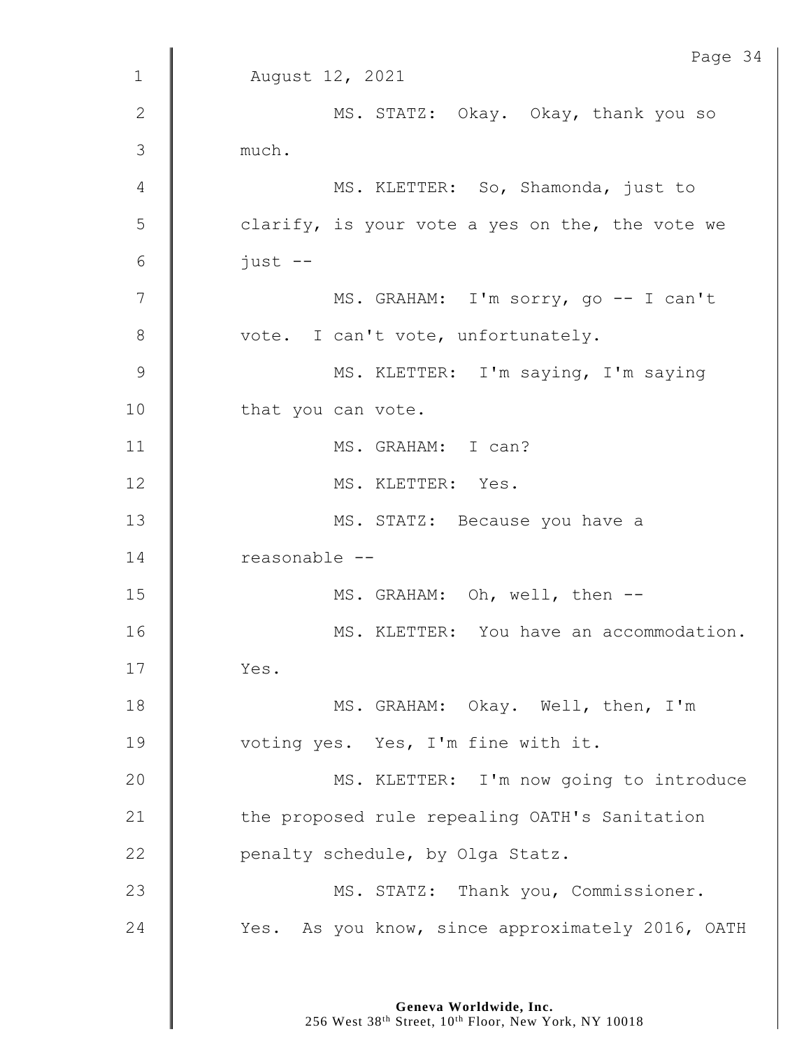|                | Page 34                                          |
|----------------|--------------------------------------------------|
| $\mathbf 1$    | August 12, 2021                                  |
| 2              | MS. STATZ: Okay. Okay, thank you so              |
| 3              | much.                                            |
| 4              | MS. KLETTER: So, Shamonda, just to               |
| 5              | clarify, is your vote a yes on the, the vote we  |
| $6\,$          | $just$ --                                        |
| $\overline{7}$ | MS. GRAHAM: I'm sorry, go -- I can't             |
| 8              | vote. I can't vote, unfortunately.               |
| $\overline{9}$ | MS. KLETTER: I'm saying, I'm saying              |
| 10             | that you can vote.                               |
| 11             | MS. GRAHAM: I can?                               |
| 12             | MS. KLETTER: Yes.                                |
| 13             | MS. STATZ: Because you have a                    |
| 14             | reasonable --                                    |
| 15             | MS. GRAHAM: Oh, well, then --                    |
| 16             | MS. KLETTER: You have an accommodation.          |
| 17             | Yes.                                             |
| 18             | MS. GRAHAM: Okay. Well, then, I'm                |
| 19             | voting yes. Yes, I'm fine with it.               |
| 20             | MS. KLETTER: I'm now going to introduce          |
| 21             | the proposed rule repealing OATH's Sanitation    |
| 22             | penalty schedule, by Olga Statz.                 |
| 23             | MS. STATZ: Thank you, Commissioner.              |
| 24             | Yes. As you know, since approximately 2016, OATH |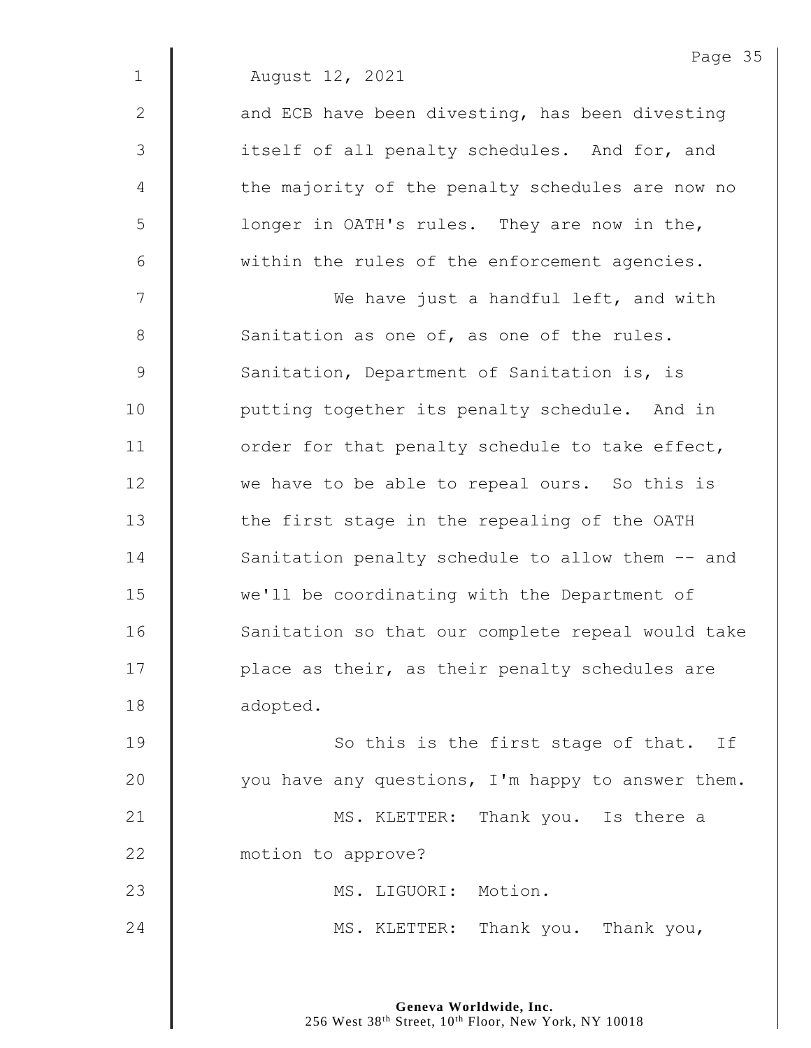|             | Page 35                                           |
|-------------|---------------------------------------------------|
| $\mathbf 1$ | August 12, 2021                                   |
| 2           | and ECB have been divesting, has been divesting   |
| 3           | itself of all penalty schedules. And for, and     |
| 4           | the majority of the penalty schedules are now no  |
| 5           | longer in OATH's rules. They are now in the,      |
| $6\,$       | within the rules of the enforcement agencies.     |
| 7           | We have just a handful left, and with             |
| $8\,$       | Sanitation as one of, as one of the rules.        |
| $\mathsf 9$ | Sanitation, Department of Sanitation is, is       |
| 10          | putting together its penalty schedule. And in     |
| 11          | order for that penalty schedule to take effect,   |
| 12          | we have to be able to repeal ours. So this is     |
| 13          | the first stage in the repealing of the OATH      |
| 14          | Sanitation penalty schedule to allow them -- and  |
| 15          | we'll be coordinating with the Department of      |
| 16          | Sanitation so that our complete repeal would take |
| 17          | place as their, as their penalty schedules are    |
| 18          | adopted.                                          |
| 19          | So this is the first stage of that. If            |
| 20          | you have any questions, I'm happy to answer them. |
| 21          | MS. KLETTER: Thank you. Is there a                |
|             |                                                   |

**motion** to approve?

23 | MS. LIGUORI: Motion.

24 MS. KLETTER: Thank you. Thank you,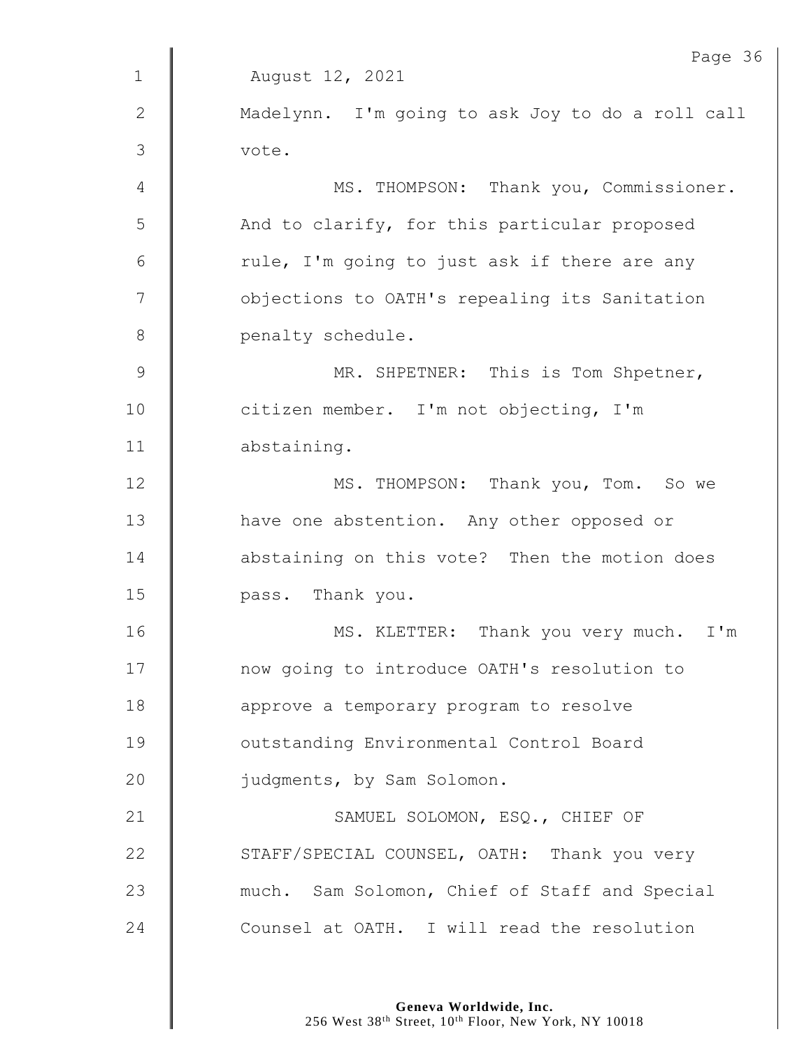| Madelynn. I'm going to ask Joy to do a roll call<br>MS. THOMPSON: Thank you, Commissioner.<br>And to clarify, for this particular proposed |  |
|--------------------------------------------------------------------------------------------------------------------------------------------|--|
|                                                                                                                                            |  |
|                                                                                                                                            |  |
|                                                                                                                                            |  |
|                                                                                                                                            |  |
|                                                                                                                                            |  |
| rule, I'm going to just ask if there are any                                                                                               |  |
| objections to OATH's repealing its Sanitation                                                                                              |  |
|                                                                                                                                            |  |
| MR. SHPETNER: This is Tom Shpetner,                                                                                                        |  |
|                                                                                                                                            |  |
|                                                                                                                                            |  |
| MS. THOMPSON: Thank you, Tom. So we                                                                                                        |  |
| have one abstention. Any other opposed or                                                                                                  |  |
| abstaining on this vote? Then the motion does                                                                                              |  |
|                                                                                                                                            |  |
| MS. KLETTER: Thank you very much. I'm                                                                                                      |  |
| now going to introduce OATH's resolution to                                                                                                |  |
|                                                                                                                                            |  |
|                                                                                                                                            |  |
|                                                                                                                                            |  |
|                                                                                                                                            |  |
| STAFF/SPECIAL COUNSEL, OATH: Thank you very                                                                                                |  |
| much. Sam Solomon, Chief of Staff and Special                                                                                              |  |
| Counsel at OATH. I will read the resolution                                                                                                |  |
|                                                                                                                                            |  |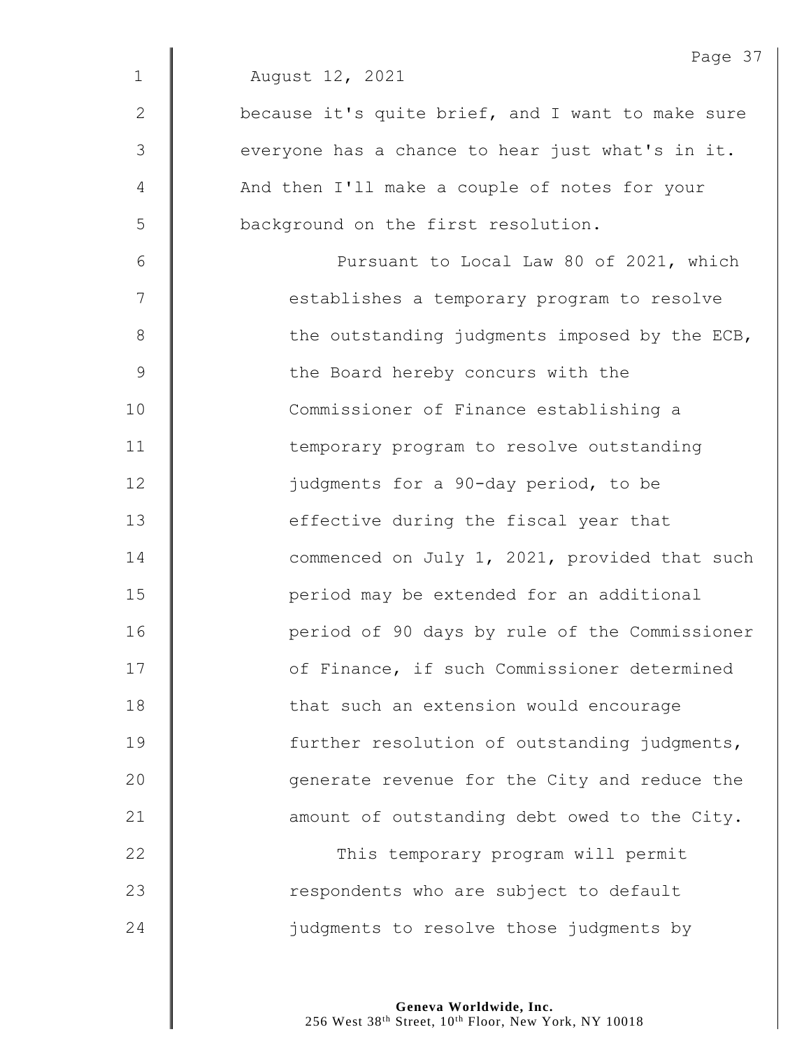|              | Page 37                                           |
|--------------|---------------------------------------------------|
| $\mathbf 1$  | August 12, 2021                                   |
| $\mathbf{2}$ | because it's quite brief, and I want to make sure |
| 3            | everyone has a chance to hear just what's in it.  |
| 4            | And then I'll make a couple of notes for your     |
| 5            | background on the first resolution.               |
| 6            | Pursuant to Local Law 80 of 2021, which           |
| 7            | establishes a temporary program to resolve        |
| 8            | the outstanding judgments imposed by the ECB,     |
| 9            | the Board hereby concurs with the                 |
| 10           | Commissioner of Finance establishing a            |
| 11           | temporary program to resolve outstanding          |
| 12           | judgments for a 90-day period, to be              |
| 13           | effective during the fiscal year that             |
| 14           | commenced on July 1, 2021, provided that such     |
| 15           | period may be extended for an additional          |
| 16           | period of 90 days by rule of the Commissioner     |
| 17           | of Finance, if such Commissioner determined       |
| 18           | that such an extension would encourage            |
| 19           | further resolution of outstanding judgments,      |
| 20           | generate revenue for the City and reduce the      |
| 21           | amount of outstanding debt owed to the City.      |
| 22           | This temporary program will permit                |
| 23           | respondents who are subject to default            |
| 24           | judgments to resolve those judgments by           |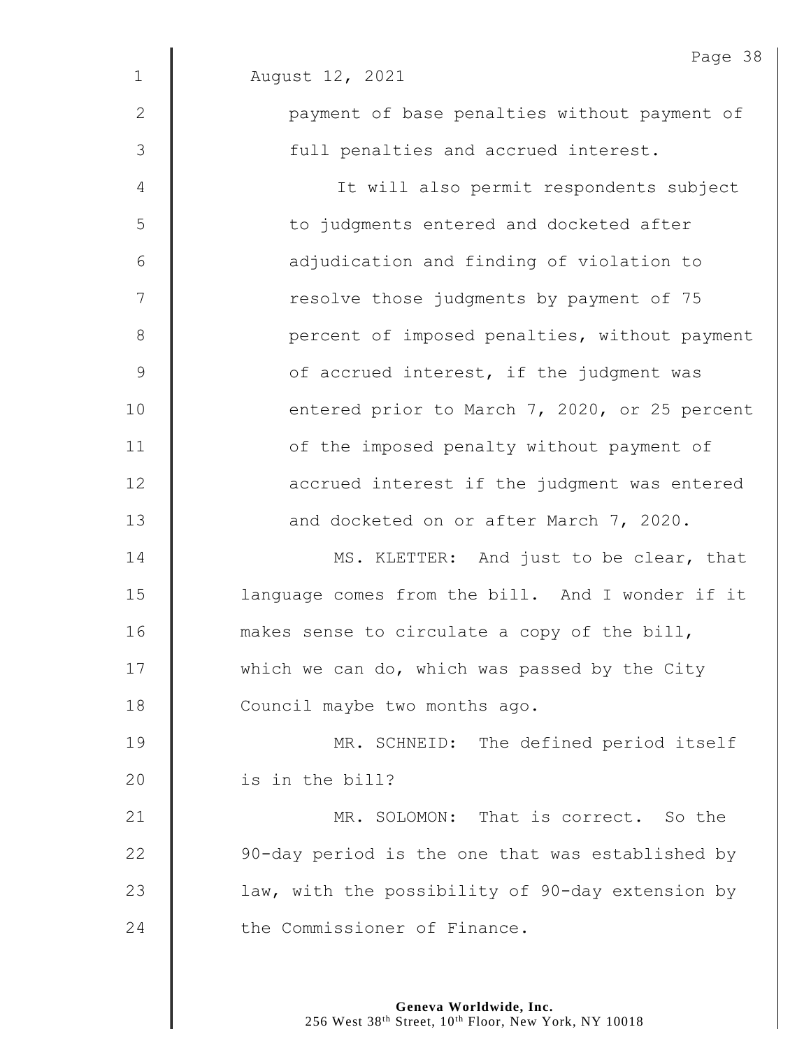|                 | Page 38                                          |
|-----------------|--------------------------------------------------|
| $\mathbf 1$     | August 12, 2021                                  |
| $\mathbf{2}$    | payment of base penalties without payment of     |
| 3               | full penalties and accrued interest.             |
| 4               | It will also permit respondents subject          |
| 5               | to judgments entered and docketed after          |
| $6\phantom{1}6$ | adjudication and finding of violation to         |
| 7               | resolve those judgments by payment of 75         |
| 8               | percent of imposed penalties, without payment    |
| $\overline{9}$  | of accrued interest, if the judgment was         |
| 10              | entered prior to March 7, 2020, or 25 percent    |
| 11              | of the imposed penalty without payment of        |
| 12              | accrued interest if the judgment was entered     |
| 13              | and docketed on or after March 7, 2020.          |
| 14              | MS. KLETTER: And just to be clear, that          |
| 15              | language comes from the bill. And I wonder if it |
| 16              | makes sense to circulate a copy of the bill,     |
| 17              | which we can do, which was passed by the City    |
| 18              | Council maybe two months ago.                    |
| 19              | MR. SCHNEID: The defined period itself           |
| 20              | is in the bill?                                  |
| 21              | MR. SOLOMON: That is correct. So the             |
| 22              | 90-day period is the one that was established by |
| 23              | law, with the possibility of 90-day extension by |
| 24              | the Commissioner of Finance.                     |
|                 |                                                  |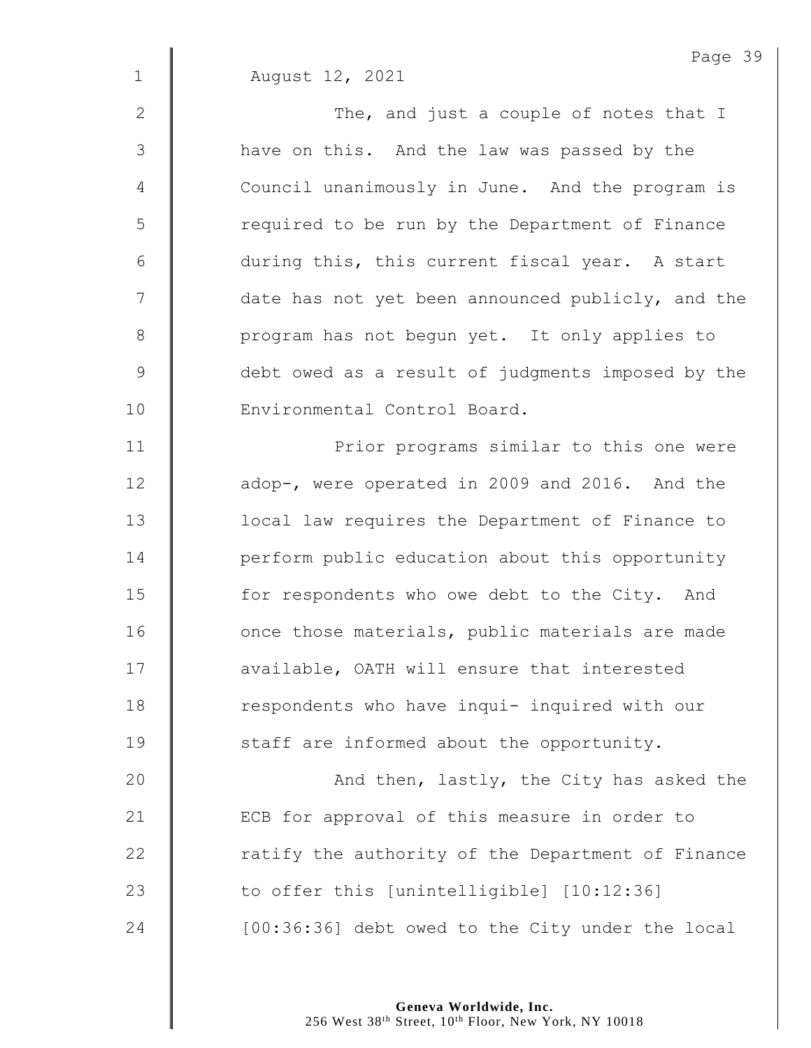|                | Page 39                                           |
|----------------|---------------------------------------------------|
| $\mathbf 1$    | August 12, 2021                                   |
| $\mathbf{2}$   | The, and just a couple of notes that I            |
| 3              | have on this. And the law was passed by the       |
| $\overline{4}$ | Council unanimously in June. And the program is   |
| 5              | required to be run by the Department of Finance   |
| 6              | during this, this current fiscal year. A start    |
| 7              | date has not yet been announced publicly, and the |
| $\,8\,$        | program has not begun yet. It only applies to     |
| $\mathcal{G}$  | debt owed as a result of judgments imposed by the |
| 10             | Environmental Control Board.                      |
| 11             | Prior programs similar to this one were           |
| 12             | adop-, were operated in 2009 and 2016. And the    |
| 13             | local law requires the Department of Finance to   |
| 14             | perform public education about this opportunity   |
| 15             | for respondents who owe debt to the City. And     |
| 16             | once those materials, public materials are made   |
| 17             | available, OATH will ensure that interested       |
| 18             | respondents who have inqui- inquired with our     |
| 19             | staff are informed about the opportunity.         |
| 20             | And then, lastly, the City has asked the          |
| 21             | ECB for approval of this measure in order to      |
| 22             | ratify the authority of the Department of Finance |
| 23             | to offer this [unintelligible] [10:12:36]         |
| 24             | [00:36:36] debt owed to the City under the local  |

Page 39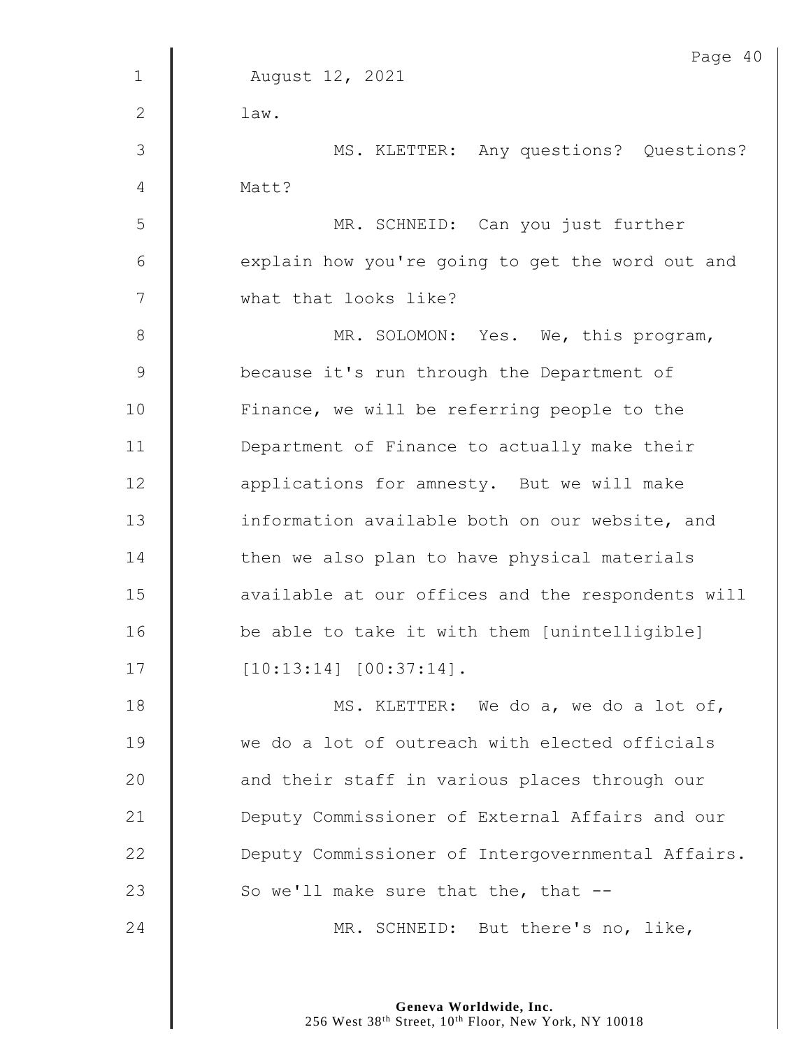|             | Page 40                                           |
|-------------|---------------------------------------------------|
| $\mathbf 1$ | August 12, 2021                                   |
| 2           | law.                                              |
| 3           | MS. KLETTER: Any questions? Questions?            |
| 4           | Matt?                                             |
| 5           | MR. SCHNEID: Can you just further                 |
| 6           | explain how you're going to get the word out and  |
| 7           | what that looks like?                             |
| $8\,$       | MR. SOLOMON: Yes. We, this program,               |
| $\mathsf 9$ | because it's run through the Department of        |
| 10          | Finance, we will be referring people to the       |
| 11          | Department of Finance to actually make their      |
| 12          | applications for amnesty. But we will make        |
| 13          | information available both on our website, and    |
| 14          | then we also plan to have physical materials      |
| 15          | available at our offices and the respondents will |
| 16          | be able to take it with them [unintelligible]     |
| 17          | $[10:13:14]$ $[00:37:14]$ .                       |
| 18          | MS. KLETTER: We do a, we do a lot of,             |
| 19          | we do a lot of outreach with elected officials    |
| 20          | and their staff in various places through our     |
| 21          | Deputy Commissioner of External Affairs and our   |
| 22          | Deputy Commissioner of Intergovernmental Affairs. |
| 23          | So we'll make sure that the, that $-$ -           |
| 24          | MR. SCHNEID: But there's no, like,                |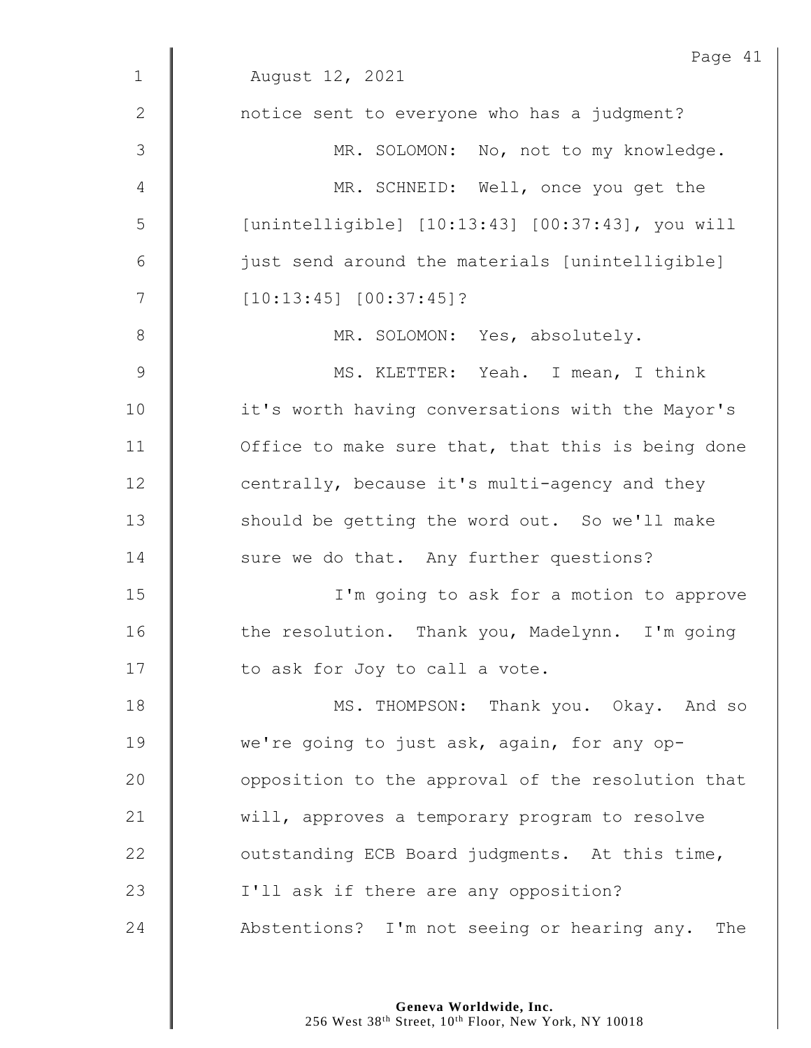|                | Page 41                                           |
|----------------|---------------------------------------------------|
| $\mathbf 1$    | August 12, 2021                                   |
| $\mathbf{2}$   | notice sent to everyone who has a judgment?       |
| $\mathcal{S}$  | MR. SOLOMON: No, not to my knowledge.             |
| $\overline{4}$ | MR. SCHNEID: Well, once you get the               |
| 5              | [unintelligible] [10:13:43] [00:37:43], you will  |
| $\epsilon$     | just send around the materials [unintelligible]   |
| 7              | $[10:13:45]$ $[00:37:45]$ ?                       |
| $8\,$          | MR. SOLOMON: Yes, absolutely.                     |
| $\mathsf 9$    | MS. KLETTER: Yeah. I mean, I think                |
| 10             | it's worth having conversations with the Mayor's  |
| 11             | Office to make sure that, that this is being done |
| 12             | centrally, because it's multi-agency and they     |
| 13             | should be getting the word out. So we'll make     |
| 14             | sure we do that. Any further questions?           |
| 15             | I'm going to ask for a motion to approve          |
| 16             | the resolution. Thank you, Madelynn. I'm going    |
| 17             | to ask for Joy to call a vote.                    |
| 18             | MS. THOMPSON: Thank you. Okay. And so             |
| 19             | we're going to just ask, again, for any op-       |
| 20             | opposition to the approval of the resolution that |
| 21             | will, approves a temporary program to resolve     |
| 22             | outstanding ECB Board judgments. At this time,    |
| 23             | I'll ask if there are any opposition?             |
| 24             | Abstentions? I'm not seeing or hearing any. The   |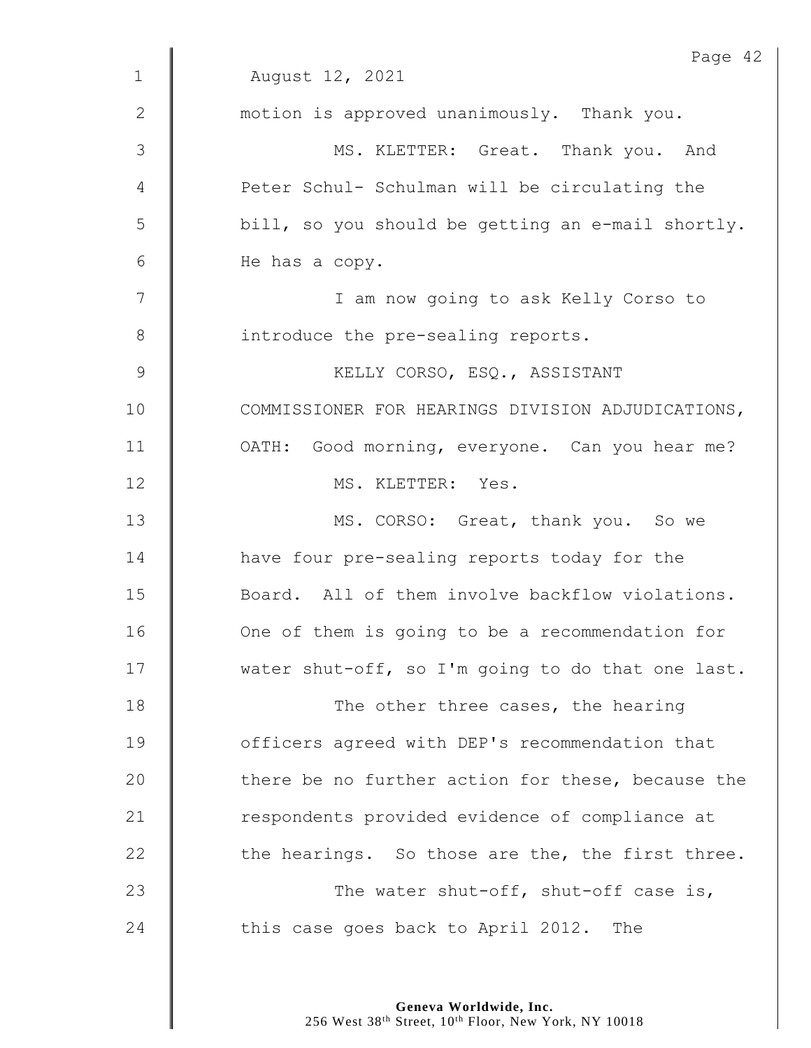|               | Page 42                                           |
|---------------|---------------------------------------------------|
| $\mathbf 1$   | August 12, 2021                                   |
| 2             | motion is approved unanimously. Thank you.        |
| 3             | MS. KLETTER: Great. Thank you. And                |
| 4             | Peter Schul- Schulman will be circulating the     |
| 5             | bill, so you should be getting an e-mail shortly. |
| 6             | He has a copy.                                    |
| 7             | I am now going to ask Kelly Corso to              |
| $8\,$         | introduce the pre-sealing reports.                |
| $\mathcal{G}$ | KELLY CORSO, ESQ., ASSISTANT                      |
| 10            | COMMISSIONER FOR HEARINGS DIVISION ADJUDICATIONS, |
| 11            | OATH: Good morning, everyone. Can you hear me?    |
| 12            | MS. KLETTER: Yes.                                 |
| 13            | MS. CORSO: Great, thank you. So we                |
| 14            | have four pre-sealing reports today for the       |
| 15            | Board. All of them involve backflow violations.   |
| 16            | One of them is going to be a recommendation for   |
| 17            | water shut-off, so I'm going to do that one last. |
| 18            | The other three cases, the hearing                |
| 19            | officers agreed with DEP's recommendation that    |
| 20            | there be no further action for these, because the |
| 21            | respondents provided evidence of compliance at    |
| 22            | the hearings. So those are the, the first three.  |
| 23            | The water shut-off, shut-off case is,             |
| 24            | this case goes back to April 2012. The            |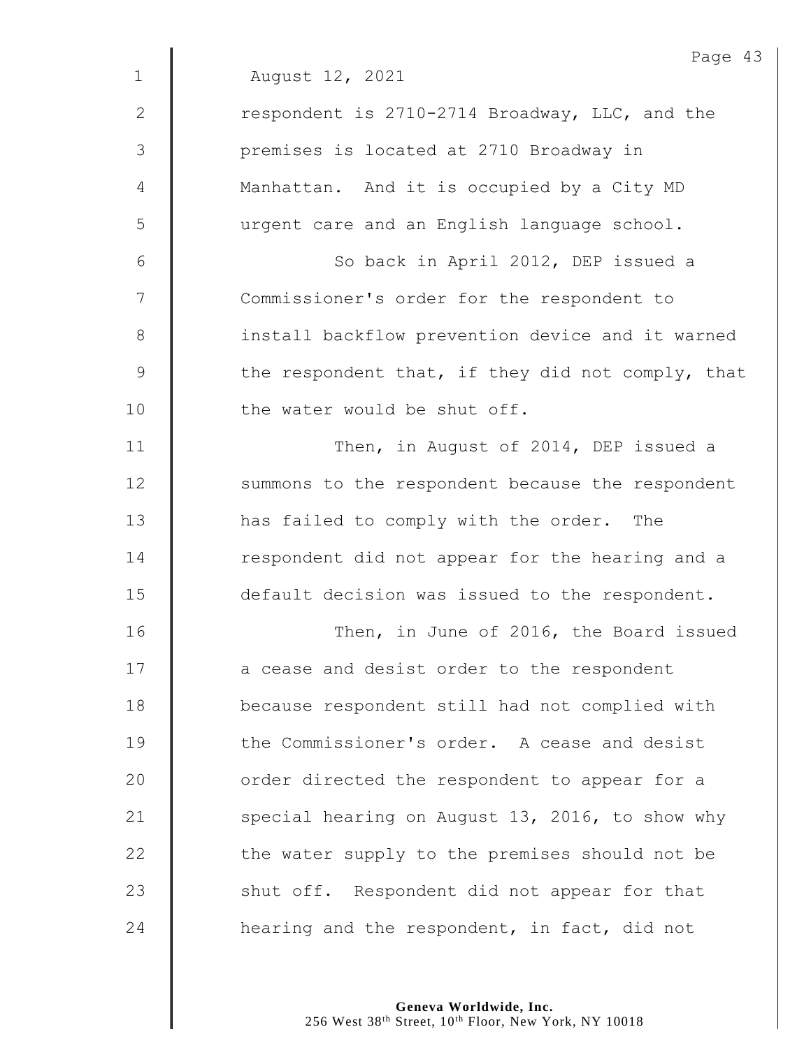|                | Page 43                                           |
|----------------|---------------------------------------------------|
| $\mathbf{1}$   | August 12, 2021                                   |
| $\mathbf{2}$   | respondent is 2710-2714 Broadway, LLC, and the    |
| 3              | premises is located at 2710 Broadway in           |
| $\overline{4}$ | Manhattan. And it is occupied by a City MD        |
| 5              | urgent care and an English language school.       |
| 6              | So back in April 2012, DEP issued a               |
| 7              | Commissioner's order for the respondent to        |
| $8\,$          | install backflow prevention device and it warned  |
| $\mathsf 9$    | the respondent that, if they did not comply, that |
| 10             | the water would be shut off.                      |
| 11             | Then, in August of 2014, DEP issued a             |
| 12             | summons to the respondent because the respondent  |
| 13             | has failed to comply with the order. The          |
| 14             | respondent did not appear for the hearing and a   |
| 15             | default decision was issued to the respondent.    |
| 16             | Then, in June of 2016, the Board issued           |
| 17             | a cease and desist order to the respondent        |
| 18             | because respondent still had not complied with    |
| 19             | the Commissioner's order. A cease and desist      |
| 20             | order directed the respondent to appear for a     |
| 21             | special hearing on August 13, 2016, to show why   |
| 22             | the water supply to the premises should not be    |
| 23             | shut off. Respondent did not appear for that      |
| 24             | hearing and the respondent, in fact, did not      |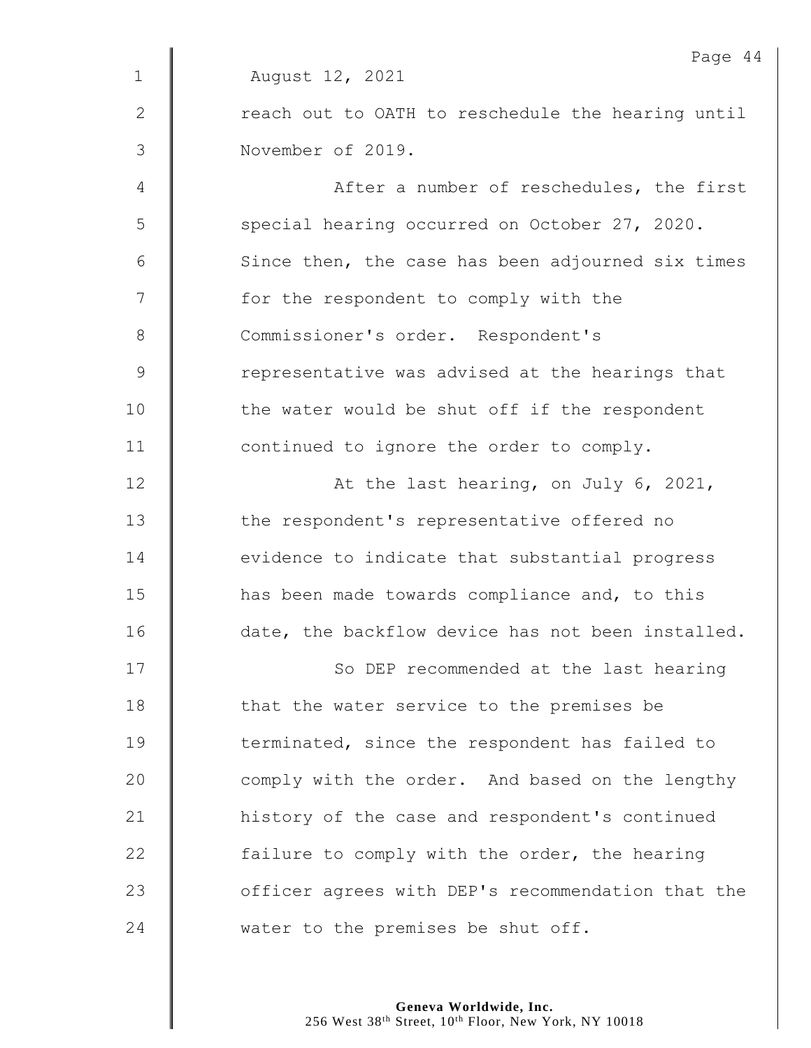|              | Page 44                                           |
|--------------|---------------------------------------------------|
| $\mathbf{1}$ | August 12, 2021                                   |
| 2            | reach out to OATH to reschedule the hearing until |
| 3            | November of 2019.                                 |
| 4            | After a number of reschedules, the first          |
| 5            | special hearing occurred on October 27, 2020.     |
| 6            | Since then, the case has been adjourned six times |
| 7            | for the respondent to comply with the             |
| 8            | Commissioner's order. Respondent's                |
| $\mathsf 9$  | representative was advised at the hearings that   |
| 10           | the water would be shut off if the respondent     |
| 11           | continued to ignore the order to comply.          |
| 12           | At the last hearing, on July 6, 2021,             |
| 13           | the respondent's representative offered no        |
| 14           | evidence to indicate that substantial progress    |
| 15           | has been made towards compliance and, to this     |
| 16           | date, the backflow device has not been installed. |
| 17           | So DEP recommended at the last hearing            |
| 18           | that the water service to the premises be         |
| 19           | terminated, since the respondent has failed to    |
| 20           | comply with the order. And based on the lengthy   |
| 21           | history of the case and respondent's continued    |
| 22           | failure to comply with the order, the hearing     |
| 23           | officer agrees with DEP's recommendation that the |
| 24           | water to the premises be shut off.                |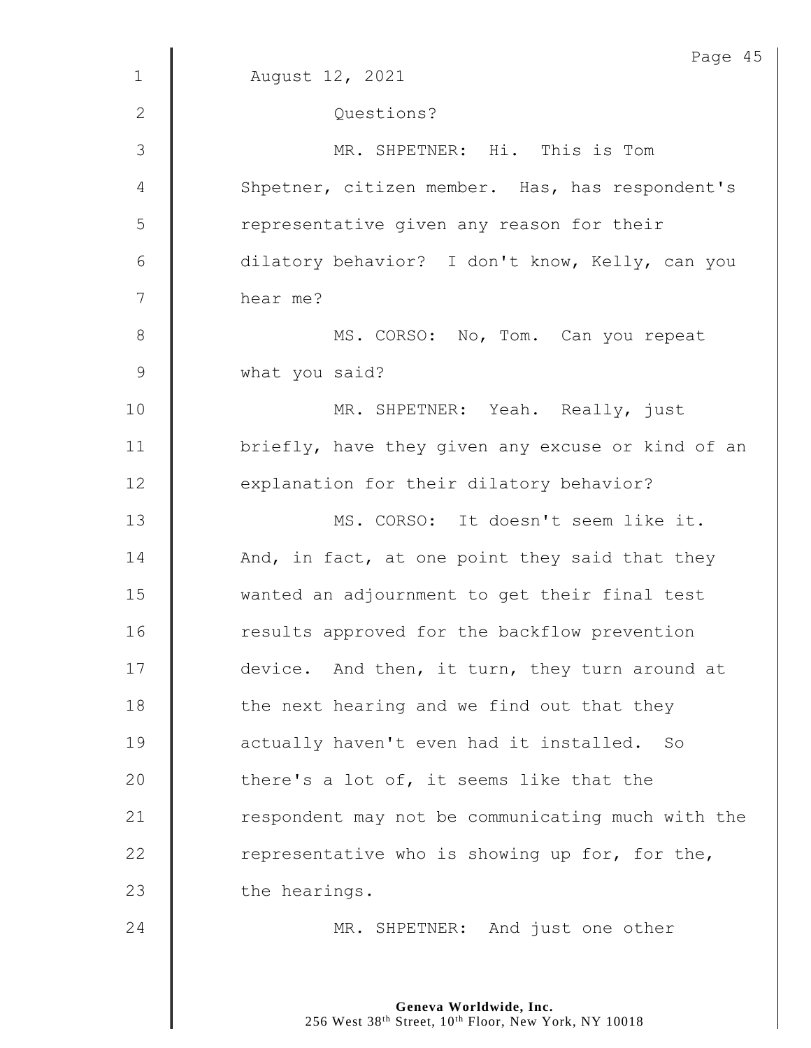| $\mathbf 1$    | Page 45<br>August 12, 2021                        |
|----------------|---------------------------------------------------|
|                |                                                   |
| 2              | Questions?                                        |
| $\mathfrak{Z}$ | MR. SHPETNER: Hi. This is Tom                     |
| 4              | Shpetner, citizen member. Has, has respondent's   |
| 5              | representative given any reason for their         |
| $6\,$          | dilatory behavior? I don't know, Kelly, can you   |
| 7              | hear me?                                          |
| $8\,$          | MS. CORSO: No, Tom. Can you repeat                |
| $\mathsf 9$    | what you said?                                    |
| 10             | MR. SHPETNER: Yeah. Really, just                  |
| 11             | briefly, have they given any excuse or kind of an |
| 12             | explanation for their dilatory behavior?          |
| 13             | MS. CORSO: It doesn't seem like it.               |
| 14             | And, in fact, at one point they said that they    |
| 15             | wanted an adjournment to get their final test     |
| 16             | results approved for the backflow prevention      |
| 17             | device. And then, it turn, they turn around at    |
| 18             | the next hearing and we find out that they        |
| 19             | actually haven't even had it installed. So        |
| 20             | there's a lot of, it seems like that the          |
| 21             | respondent may not be communicating much with the |
| 22             | representative who is showing up for, for the,    |
| 23             | the hearings.                                     |
| 24             | MR. SHPETNER: And just one other                  |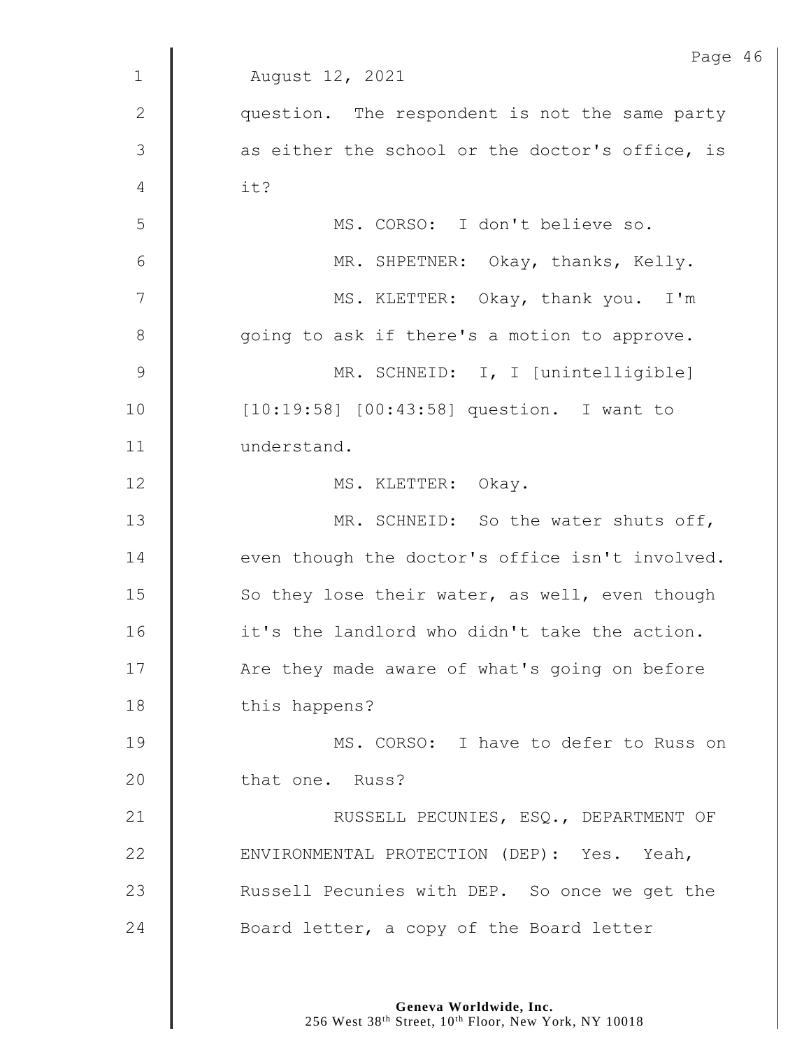|                | Page 46                                         |
|----------------|-------------------------------------------------|
| $\mathbf{1}$   | August 12, 2021                                 |
| $\mathbf{2}$   | question. The respondent is not the same party  |
| 3              | as either the school or the doctor's office, is |
| 4              | it?                                             |
| 5              | MS. CORSO: I don't believe so.                  |
| $6\,$          | MR. SHPETNER: Okay, thanks, Kelly.              |
| $\overline{7}$ | MS. KLETTER: Okay, thank you. I'm               |
| $8\,$          | going to ask if there's a motion to approve.    |
| $\mathcal{G}$  | MR. SCHNEID: I, I [unintelligible]              |
| 10             | [10:19:58] [00:43:58] question. I want to       |
| 11             | understand.                                     |
| 12             | MS. KLETTER: Okay.                              |
| 13             | MR. SCHNEID: So the water shuts off,            |
| 14             | even though the doctor's office isn't involved. |
| 15             | So they lose their water, as well, even though  |
| 16             | it's the landlord who didn't take the action.   |
| 17             | Are they made aware of what's going on before   |
| 18             | this happens?                                   |
| 19             | MS. CORSO: I have to defer to Russ on           |
| 20             | that one. Russ?                                 |
| 21             | RUSSELL PECUNIES, ESQ., DEPARTMENT OF           |
| 22             | ENVIRONMENTAL PROTECTION (DEP): Yes. Yeah,      |
| 23             | Russell Pecunies with DEP. So once we get the   |
| 24             | Board letter, a copy of the Board letter        |
|                |                                                 |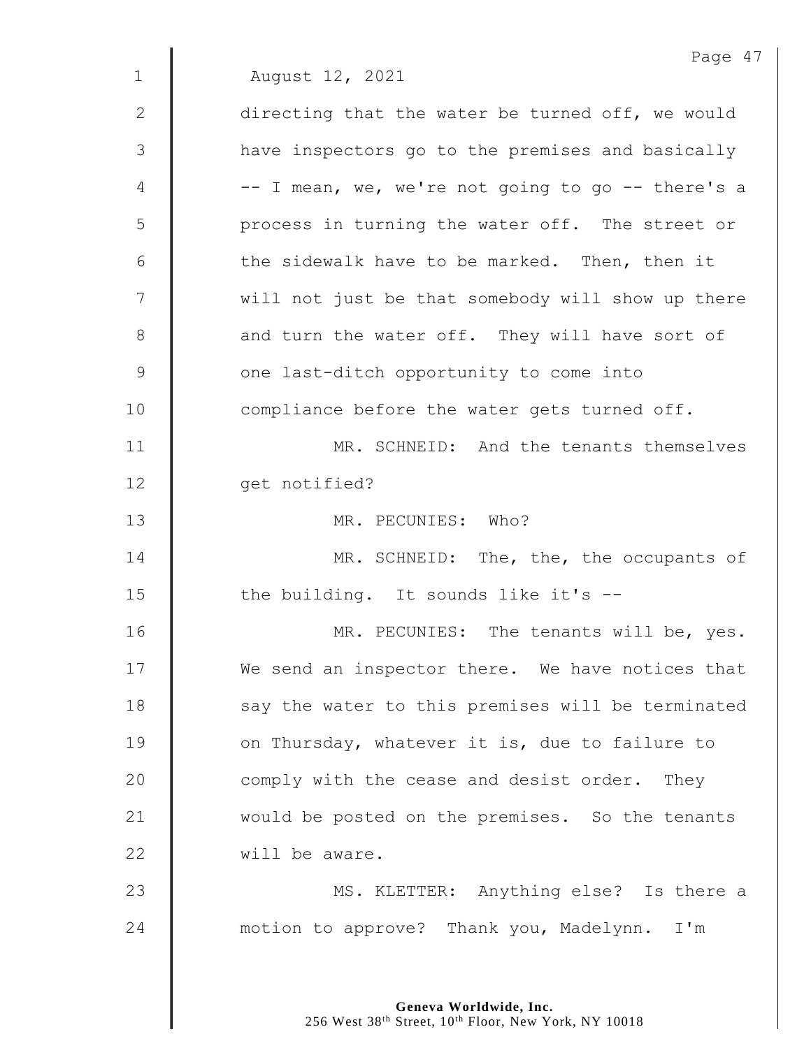|              | Page 47                                           |
|--------------|---------------------------------------------------|
| $\mathbf{1}$ | August 12, 2021                                   |
| 2            | directing that the water be turned off, we would  |
| 3            | have inspectors go to the premises and basically  |
| 4            | -- I mean, we, we're not going to go -- there's a |
| 5            | process in turning the water off. The street or   |
| 6            | the sidewalk have to be marked. Then, then it     |
| 7            | will not just be that somebody will show up there |
| $8\,$        | and turn the water off. They will have sort of    |
| $\mathsf 9$  | one last-ditch opportunity to come into           |
| 10           | compliance before the water gets turned off.      |
| 11           | MR. SCHNEID: And the tenants themselves           |
| 12           | get notified?                                     |
| 13           | MR. PECUNIES: Who?                                |
| 14           | MR. SCHNEID: The, the, the occupants of           |
| 15           | the building. It sounds like it's --              |
| 16           | MR. PECUNIES: The tenants will be, yes.           |
| 17           | We send an inspector there. We have notices that  |
| 18           | say the water to this premises will be terminated |
| 19           | on Thursday, whatever it is, due to failure to    |
| 20           | comply with the cease and desist order. They      |
| 21           | would be posted on the premises. So the tenants   |
| 22           | will be aware.                                    |
| 23           | MS. KLETTER: Anything else? Is there a            |
| 24           | motion to approve? Thank you, Madelynn. I'm       |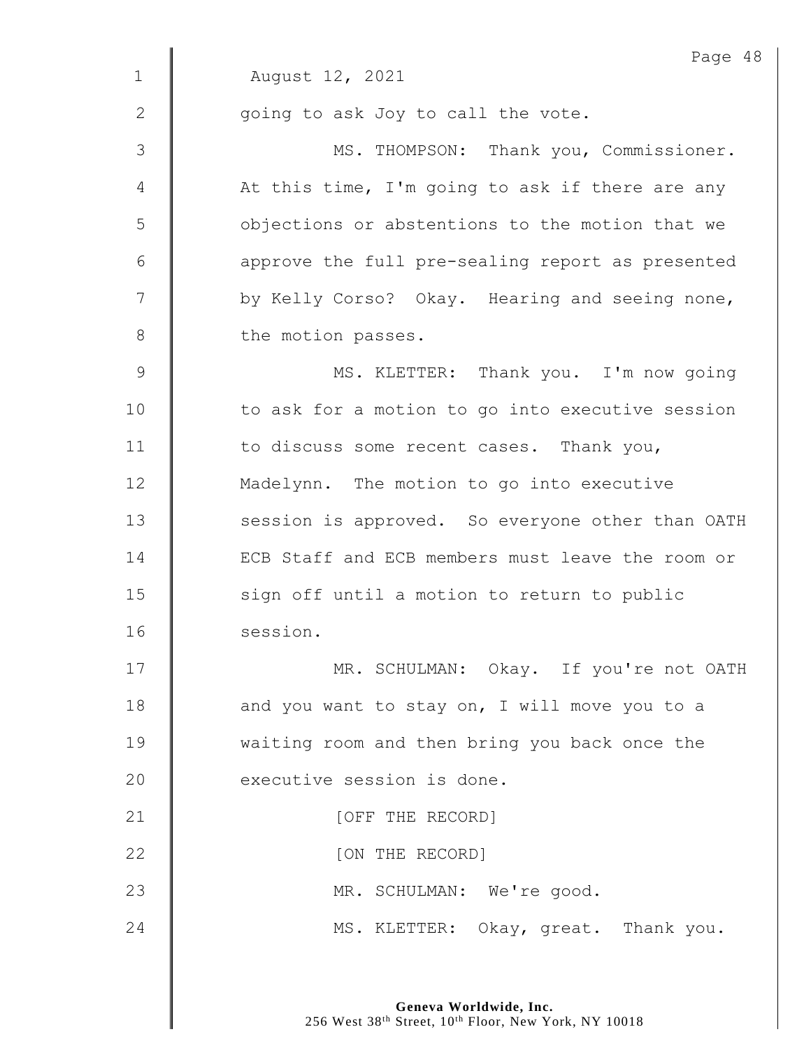|               | Page 48                                          |
|---------------|--------------------------------------------------|
| $\mathbf 1$   | August 12, 2021                                  |
| 2             | going to ask Joy to call the vote.               |
| 3             | MS. THOMPSON: Thank you, Commissioner.           |
| 4             | At this time, I'm going to ask if there are any  |
| 5             | objections or abstentions to the motion that we  |
| 6             | approve the full pre-sealing report as presented |
| 7             | by Kelly Corso? Okay. Hearing and seeing none,   |
| $8\,$         | the motion passes.                               |
| $\mathcal{G}$ | MS. KLETTER: Thank you. I'm now going            |
| 10            | to ask for a motion to go into executive session |
| 11            | to discuss some recent cases. Thank you,         |
| 12            | Madelynn. The motion to go into executive        |
| 13            | session is approved. So everyone other than OATH |
| 14            | ECB Staff and ECB members must leave the room or |
| 15            | sign off until a motion to return to public      |
| 16            | session.                                         |
| 17            | MR. SCHULMAN: Okay. If you're not OATH           |
| 18            | and you want to stay on, I will move you to a    |
| 19            | waiting room and then bring you back once the    |
| 20            | executive session is done.                       |
| 21            | [OFF THE RECORD]                                 |
| 22            | [ON THE RECORD]                                  |
| 23            | MR. SCHULMAN: We're good.                        |
| 24            | MS. KLETTER: Okay, great. Thank you.             |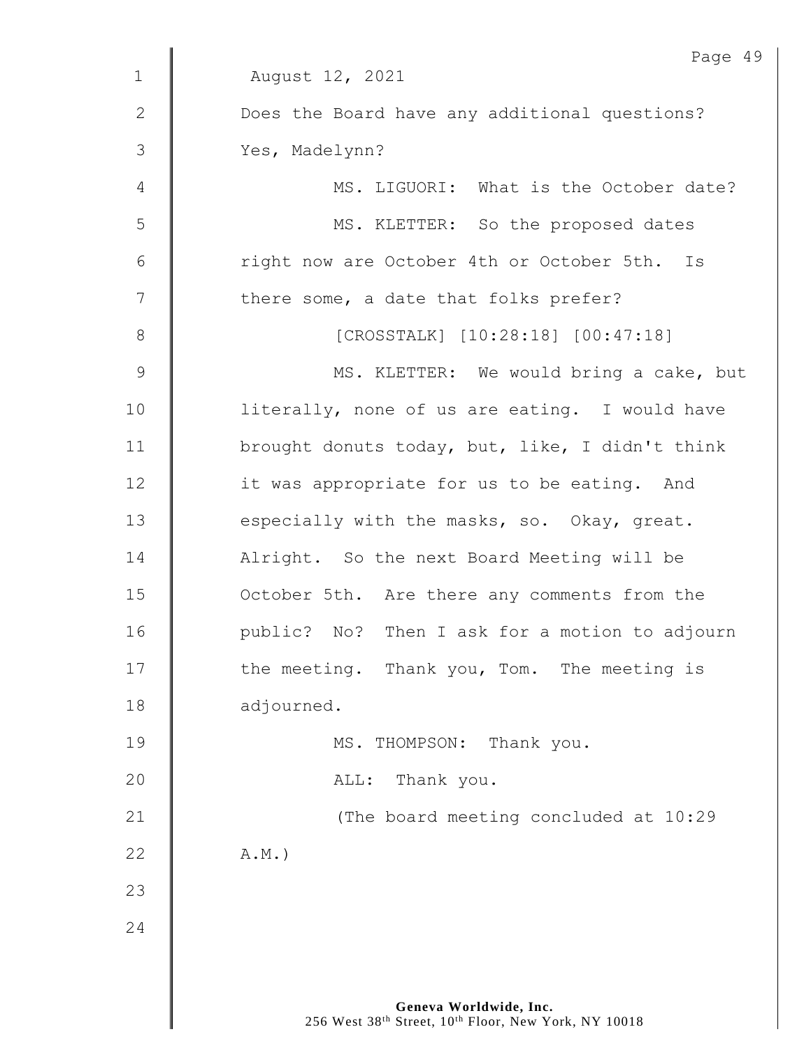|                | Page 49                                         |
|----------------|-------------------------------------------------|
| $\mathbf 1$    | August 12, 2021                                 |
| $\mathbf{2}$   | Does the Board have any additional questions?   |
| 3              | Yes, Madelynn?                                  |
| 4              | MS. LIGUORI: What is the October date?          |
| 5              | MS. KLETTER: So the proposed dates              |
| $\sqrt{6}$     | right now are October 4th or October 5th. Is    |
| $\overline{7}$ | there some, a date that folks prefer?           |
| $\,8\,$        | [CROSSTALK] [10:28:18] [00:47:18]               |
| $\mathsf 9$    | MS. KLETTER: We would bring a cake, but         |
| 10             | literally, none of us are eating. I would have  |
| 11             | brought donuts today, but, like, I didn't think |
| 12             | it was appropriate for us to be eating. And     |
| 13             | especially with the masks, so. Okay, great.     |
| 14             | Alright. So the next Board Meeting will be      |
| 15             | October 5th. Are there any comments from the    |
| 16             | public? No? Then I ask for a motion to adjourn  |
| 17             | the meeting. Thank you, Tom. The meeting is     |
| 18             | adjourned.                                      |
| 19             | MS. THOMPSON: Thank you.                        |
| 20             | Thank you.<br>ALL:                              |
| 21             | (The board meeting concluded at 10:29           |
| 22             | $A.M.$ )                                        |
| 23             |                                                 |
| 24             |                                                 |
|                |                                                 |